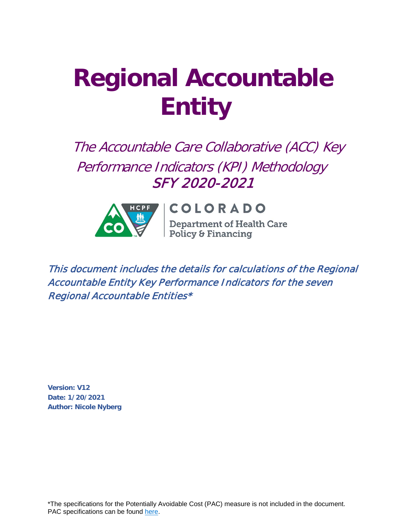# **Regional Accountable Entity**

The Accountable Care Collaborative (ACC) Key Performance Indicators (KPI) Methodology SFY 2020-2021



# COLORADO

Department of Health Care<br>Policy & Financing

This document includes the details for calculations of the Regional Accountable Entity Key Performance Indicators for the seven Regional Accountable Entities\*

**Version: V12 Date: 1/20/2021 Author: Nicole Nyberg**

\*The specifications for the Potentially Avoidable Cost (PAC) measure is not included in the document. PAC specifications can be found [here.](https://cohcpf.sharepoint.com/:w:/r/sites/RAE/_layouts/15/Doc.aspx?sourcedoc=%7BB03A4B51-587A-4615-AEC4-289363DFFB20%7D&file=RAE%20PAC%20KPI%20Spec%20SFY20-21.docx&action=default&mobileredirect=true&cid=f61d5576-84d7-41ed-8c4c-16a77d522b1b)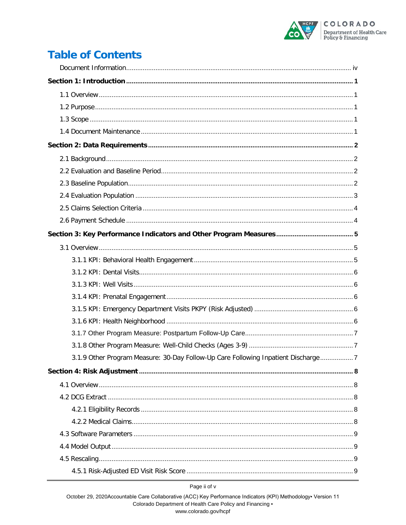

# **Table of Contents**

<span id="page-1-0"></span>

| 3.1.9 Other Program Measure: 30-Day Follow-Up Care Following Inpatient Discharge7 |  |
|-----------------------------------------------------------------------------------|--|
|                                                                                   |  |
|                                                                                   |  |
|                                                                                   |  |
|                                                                                   |  |
|                                                                                   |  |
|                                                                                   |  |
|                                                                                   |  |
|                                                                                   |  |
|                                                                                   |  |

Page ii of v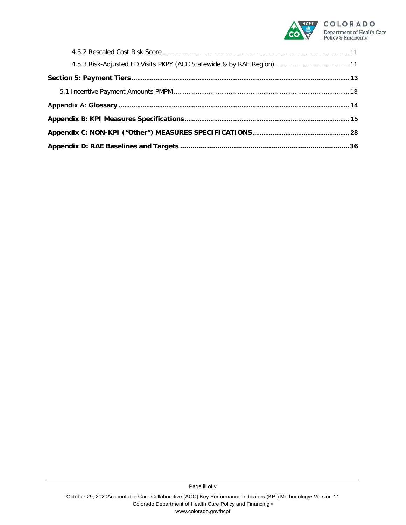

Page iii of v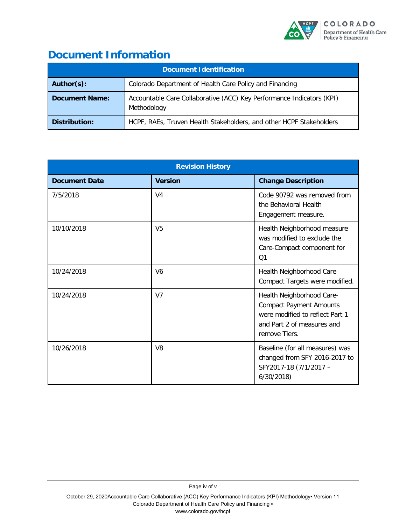

# <span id="page-3-0"></span>**Document Information**

| Document Identification |                                                                                      |  |  |  |
|-------------------------|--------------------------------------------------------------------------------------|--|--|--|
| Author(s):              | Colorado Department of Health Care Policy and Financing                              |  |  |  |
| <b>Document Name:</b>   | Accountable Care Collaborative (ACC) Key Performance Indicators (KPI)<br>Methodology |  |  |  |
| Distribution:           | HCPF, RAEs, Truven Health Stakeholders, and other HCPF Stakeholders                  |  |  |  |

| <b>Revision History</b> |                |                                                                                                                                               |  |  |
|-------------------------|----------------|-----------------------------------------------------------------------------------------------------------------------------------------------|--|--|
| <b>Document Date</b>    | <b>Version</b> | <b>Change Description</b>                                                                                                                     |  |  |
| 7/5/2018                | V <sub>4</sub> | Code 90792 was removed from<br>the Behavioral Health<br>Engagement measure.                                                                   |  |  |
| 10/10/2018              | V <sub>5</sub> | Health Neighborhood measure<br>was modified to exclude the<br>Care-Compact component for<br>O <sub>1</sub>                                    |  |  |
| 10/24/2018              | V <sub>6</sub> | Health Neighborhood Care<br>Compact Targets were modified.                                                                                    |  |  |
| 10/24/2018              | V <sub>7</sub> | Health Neighborhood Care-<br><b>Compact Payment Amounts</b><br>were modified to reflect Part 1<br>and Part 2 of measures and<br>remove Tiers. |  |  |
| 10/26/2018              | V <sub>8</sub> | Baseline (for all measures) was<br>changed from SFY 2016-2017 to<br>SFY2017-18 (7/1/2017 -<br>6/30/2018                                       |  |  |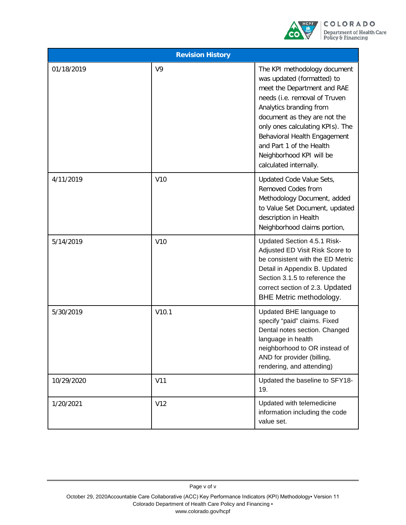

| <b>Revision History</b> |                 |                                                                                                                                                                                                                                                                                                                                             |  |  |
|-------------------------|-----------------|---------------------------------------------------------------------------------------------------------------------------------------------------------------------------------------------------------------------------------------------------------------------------------------------------------------------------------------------|--|--|
| 01/18/2019              | V9              | The KPI methodology document<br>was updated (formatted) to<br>meet the Department and RAE<br>needs (i.e. removal of Truven<br>Analytics branding from<br>document as they are not the<br>only ones calculating KPIs). The<br>Behavioral Health Engagement<br>and Part 1 of the Health<br>Neighborhood KPI will be<br>calculated internally. |  |  |
| 4/11/2019               | V <sub>10</sub> | Updated Code Value Sets,<br>Removed Codes from<br>Methodology Document, added<br>to Value Set Document, updated<br>description in Health<br>Neighborhood claims portion,                                                                                                                                                                    |  |  |
| 5/14/2019               | V <sub>10</sub> | Updated Section 4.5.1 Risk-<br>Adjusted ED Visit Risk Score to<br>be consistent with the ED Metric<br>Detail in Appendix B. Updated<br>Section 3.1.5 to reference the<br>correct section of 2.3. Updated<br>BHE Metric methodology.                                                                                                         |  |  |
| 5/30/2019               | V10.1           | Updated BHE language to<br>specify "paid" claims. Fixed<br>Dental notes section. Changed<br>language in health<br>neighborhood to OR instead of<br>AND for provider (billing,<br>rendering, and attending)                                                                                                                                  |  |  |
| 10/29/2020              | V11             | Updated the baseline to SFY18-<br>19.                                                                                                                                                                                                                                                                                                       |  |  |
| 1/20/2021               | V12             | Updated with telemedicine<br>information including the code<br>value set.                                                                                                                                                                                                                                                                   |  |  |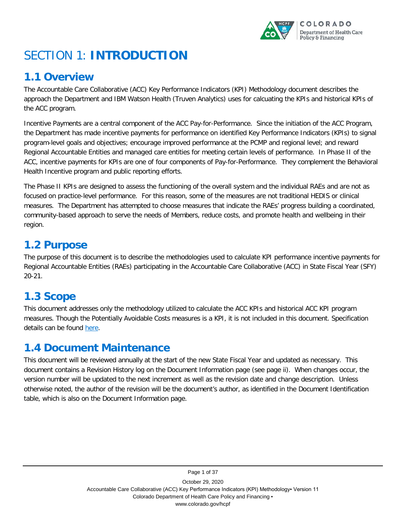

# <span id="page-5-0"></span>SECTION 1: **INTRODUCTION**

# <span id="page-5-1"></span>**1.1 Overview**

The Accountable Care Collaborative (ACC) Key Performance Indicators (KPI) Methodology document describes the approach the Department and IBM Watson Health (Truven Analytics) uses for calcuating the KPIs and historical KPIs of the ACC program.

Incentive Payments are a central component of the ACC Pay-for-Performance. Since the initiation of the ACC Program, the Department has made incentive payments for performance on identified Key Performance Indicators (KPIs) to signal program-level goals and objectives; encourage improved performance at the PCMP and regional level; and reward Regional Accountable Entities and managed care entities for meeting certain levels of performance. In Phase II of the ACC, incentive payments for KPIs are one of four components of Pay-for-Performance. They complement the Behavioral Health Incentive program and public reporting efforts.

The Phase II KPIs are designed to assess the functioning of the overall system and the individual RAEs and are not as focused on practice-level performance. For this reason, some of the measures are not traditional HEDIS or clinical measures. The Department has attempted to choose measures that indicate the RAEs' progress building a coordinated, community-based approach to serve the needs of Members, reduce costs, and promote health and wellbeing in their region.

## <span id="page-5-2"></span>**1.2 Purpose**

The purpose of this document is to describe the methodologies used to calculate KPI performance incentive payments for Regional Accountable Entities (RAEs) participating in the Accountable Care Collaborative (ACC) in State Fiscal Year (SFY) 20-21.

# <span id="page-5-3"></span>**1.3 Scope**

This document addresses only the methodology utilized to calculate the ACC KPIs and historical ACC KPI program measures. Though the Potentially Avoidable Costs measures is a KPI, it is not included in this document. Specification details can be found [here.](https://cohcpf.sharepoint.com/:w:/r/sites/RAE/_layouts/15/Doc.aspx?sourcedoc=%7BB03A4B51-587A-4615-AEC4-289363DFFB20%7D&file=RAE%20PAC%20KPI%20Spec%20SFY20-21.docx&action=default&mobileredirect=true&cid=f61d5576-84d7-41ed-8c4c-16a77d522b1b)

## <span id="page-5-4"></span>**1.4 Document Maintenance**

This document will be reviewed annually at the start of the new State Fiscal Year and updated as necessary. This document contains a Revision History log on the Document Information page (see page [ii\)](#page-1-0). When changes occur, the version number will be updated to the next increment as well as the revision date and change description. Unless otherwise noted, the author of the revision will be the document's author, as identified in the Document Identification table, which is also on the Document Information page.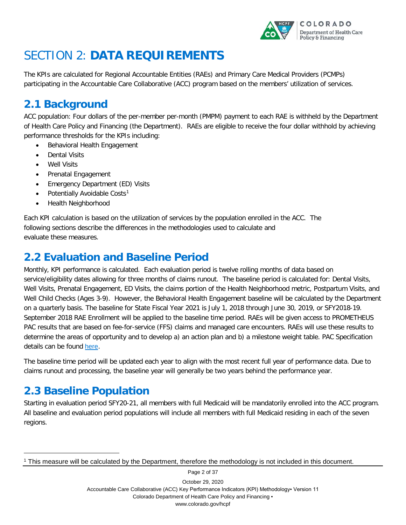

# <span id="page-6-0"></span>SECTION 2: **DATA REQUIREMENTS**

The KPIs are calculated for Regional Accountable Entities (RAEs) and Primary Care Medical Providers (PCMPs) participating in the Accountable Care Collaborative (ACC) program based on the members' utilization of services.

# <span id="page-6-1"></span>**2.1 Background**

ACC population: Four dollars of the per-member per-month (PMPM) payment to each RAE is withheld by the Department of Health Care Policy and Financing (the Department). RAEs are eligible to receive the four dollar withhold by achieving performance thresholds for the KPIs including:

- Behavioral Health Engagement
- Dental Visits
- Well Visits
- Prenatal Engagement
- Emergency Department (ED) Visits
- Potentially Avoidable Costs<sup>[1](#page-6-4)</sup>
- Health Neighborhood

Each KPI calculation is based on the utilization of services by the population enrolled in the ACC. The following sections describe the differences in the methodologies used to calculate and evaluate these measures.

# <span id="page-6-2"></span>**2.2 Evaluation and Baseline Period**

Monthly, KPI performance is calculated. Each evaluation period is twelve rolling months of data based on service/eligibility dates allowing for three months of claims runout. The baseline period is calculated for: Dental Visits, Well Visits, Prenatal Engagement, ED Visits, the claims portion of the Health Neighborhood metric, Postpartum Visits, and Well Child Checks (Ages 3-9). However, the Behavioral Health Engagement baseline will be calculated by the Department on a quarterly basis. The baseline for State Fiscal Year 2021 is July 1, 2018 through June 30, 2019, or SFY2018-19. September 2018 RAE Enrollment will be applied to the baseline time period. RAEs will be given access to PROMETHEUS PAC results that are based on fee-for-service (FFS) claims and managed care encounters. RAEs will use these results to determine the areas of opportunity and to develop a) an action plan and b) a milestone weight table. PAC Specification details can be found [here](https://cohcpf.sharepoint.com/:w:/r/sites/RAE/_layouts/15/Doc.aspx?sourcedoc=%7BB03A4B51-587A-4615-AEC4-289363DFFB20%7D&file=RAE%20PAC%20KPI%20Spec%20SFY20-21.docx&action=default&mobileredirect=true&cid=f61d5576-84d7-41ed-8c4c-16a77d522b1b).

The baseline time period will be updated each year to align with the most recent full year of performance data. Due to claims runout and processing, the baseline year will generally be two years behind the performance year.

# <span id="page-6-3"></span>**2.3 Baseline Population**

-

Starting in evaluation period SFY20-21, all members with full Medicaid will be mandatorily enrolled into the ACC program. All baseline and evaluation period populations will include all members with full Medicaid residing in each of the seven regions.

October 29, 2020 Accountable Care Collaborative (ACC) Key Performance Indicators (KPI) Methodology• Version 11 Colorado Department of Health Care Policy and Financing ▪ www.colorado.gov/hcpf

Page 2 of 37

<span id="page-6-4"></span><sup>1</sup> This measure will be calculated by the Department, therefore the methodology is not included in this document.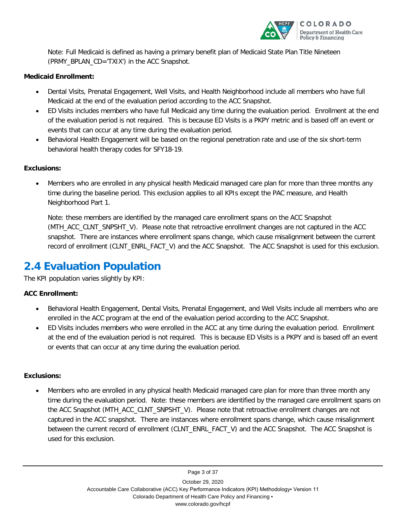

Note: Full Medicaid is defined as having a primary benefit plan of Medicaid State Plan Title Nineteen (PRMY\_BPLAN\_CD='TXIX') in the ACC Snapshot.

#### **Medicaid Enrollment:**

- Dental Visits, Prenatal Engagement, Well Visits, and Health Neighborhood include all members who have full Medicaid at the end of the evaluation period according to the ACC Snapshot.
- ED Visits includes members who have full Medicaid any time during the evaluation period. Enrollment at the end of the evaluation period is not required. This is because ED Visits is a PKPY metric and is based off an event or events that can occur at any time during the evaluation period.
- Behavioral Health Engagement will be based on the regional penetration rate and use of the six short-term behavioral health therapy codes for SFY18-19.

#### **Exclusions:**

• Members who are enrolled in any physical health Medicaid managed care plan for more than three months any time during the baseline period. This exclusion applies to all KPIs except the PAC measure, and Health Neighborhood Part 1.

Note: these members are identified by the managed care enrollment spans on the ACC Snapshot (MTH\_ACC\_CLNT\_SNPSHT\_V). Please note that retroactive enrollment changes are not captured in the ACC snapshot. There are instances where enrollment spans change, which cause misalignment between the current record of enrollment (CLNT\_ENRL\_FACT\_V) and the ACC Snapshot. The ACC Snapshot is used for this exclusion.

# <span id="page-7-0"></span>**2.4 Evaluation Population**

The KPI population varies slightly by KPI:

#### **ACC Enrollment:**

- Behavioral Health Engagement, Dental Visits, Prenatal Engagement, and Well Visits include all members who are enrolled in the ACC program at the end of the evaluation period according to the ACC Snapshot.
- ED Visits includes members who were enrolled in the ACC at any time during the evaluation period. Enrollment at the end of the evaluation period is not required. This is because ED Visits is a PKPY and is based off an event or events that can occur at any time during the evaluation period.

#### **Exclusions:**

• Members who are enrolled in any physical health Medicaid managed care plan for more than three month any time during the evaluation period. Note: these members are identified by the managed care enrollment spans on the ACC Snapshot (MTH\_ACC\_CLNT\_SNPSHT\_V). Please note that retroactive enrollment changes are not captured in the ACC snapshot. There are instances where enrollment spans change, which cause misalignment between the current record of enrollment (CLNT\_ENRL\_FACT\_V) and the ACC Snapshot. The ACC Snapshot is used for this exclusion.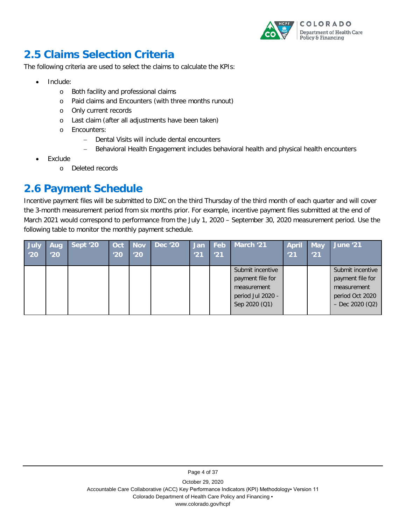

# <span id="page-8-0"></span>**2.5 Claims Selection Criteria**

The following criteria are used to select the claims to calculate the KPIs:

- Include:
	- o Both facility and professional claims
	- o Paid claims and Encounters (with three months runout)
	- o Only current records
	- o Last claim (after all adjustments have been taken)
	- o Encounters:
		- − Dental Visits will include dental encounters
		- Behavioral Health Engagement includes behavioral health and physical health encounters
- **Exclude** 
	- o Deleted records

# <span id="page-8-1"></span>**2.6 Payment Schedule**

Incentive payment files will be submitted to DXC on the third Thursday of the third month of each quarter and will cover the 3-month measurement period from six months prior. For example, incentive payment files submitted at the end of March 2021 would correspond to performance from the July 1, 2020 – September 30, 2020 measurement period. Use the following table to monitor the monthly payment schedule.

| July          | Aug | Sept '20 | Oct          | Nov | <b>Dec '20</b> | <b>Jan</b> | $\vert$ Feb | March '21                                                                                 | <b>April</b> | <b>May</b> | <b>June '21</b>                                                                             |
|---------------|-----|----------|--------------|-----|----------------|------------|-------------|-------------------------------------------------------------------------------------------|--------------|------------|---------------------------------------------------------------------------------------------|
| $^{\prime}20$ | '20 |          | $20^{\circ}$ | '20 |                | '21        | '21         |                                                                                           | '21          | '21        |                                                                                             |
|               |     |          |              |     |                |            |             | Submit incentive<br>payment file for<br>measurement<br>period Jul 2020 -<br>Sep 2020 (Q1) |              |            | Submit incentive<br>payment file for<br>measurement<br>period Oct 2020<br>$-$ Dec 2020 (Q2) |
|               |     |          |              |     |                |            |             |                                                                                           |              |            |                                                                                             |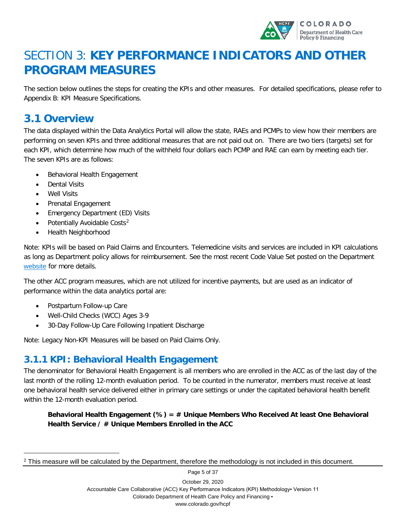

# <span id="page-9-0"></span>SECTION 3: **KEY PERFORMANCE INDICATORS AND OTHER PROGRAM MEASURES**

The section below outlines the steps for creating the KPIs and other measures. For detailed specifications, please refer to Appendix B: KPI Measure Specifications.

### <span id="page-9-1"></span>**3.1 Overview**

The data displayed within the Data Analytics Portal will allow the state, RAEs and PCMPs to view how their members are performing on seven KPIs and three additional measures that are not paid out on. There are two tiers (targets) set for each KPI, which determine how much of the withheld four dollars each PCMP and RAE can earn by meeting each tier. The seven KPIs are as follows:

- Behavioral Health Engagement
- Dental Visits
- Well Visits

-

- Prenatal Engagement
- Emergency Department (ED) Visits
- Potentially Avoidable Costs<sup>[2](#page-9-3)</sup>
- Health Neighborhood

Note: KPIs will be based on Paid Claims and Encounters. Telemedicine visits and services are included in KPI calculations as long as Department policy allows for reimbursement. See the most recent Code Value Set posted on the Department [website](https://www.colorado.gov/pacific/hcpf/accountable-care-collaborative-phase-ii-provider-and-stakeholder-resource-center) for more details.

The other ACC program measures, which are not utilized for incentive payments, but are used as an indicator of performance within the data analytics portal are:

- Postpartum Follow-up Care
- Well-Child Checks (WCC) Ages 3-9
- 30-Day Follow-Up Care Following Inpatient Discharge

Note: Legacy Non-KPI Measures will be based on Paid Claims Only.

### <span id="page-9-2"></span>**3.1.1 KPI: Behavioral Health Engagement**

The denominator for Behavioral Health Engagement is all members who are enrolled in the ACC as of the last day of the last month of the rolling 12-month evaluation period. To be counted in the numerator, members must receive at least one behavioral health service delivered either in primary care settings or under the capitated behavioral health benefit within the 12-month evaluation period.

**Behavioral Health Engagement (%) = # Unique Members Who Received At least One Behavioral Health Service / # Unique Members Enrolled in the ACC**

October 29, 2020 Accountable Care Collaborative (ACC) Key Performance Indicators (KPI) Methodology• Version 11 Colorado Department of Health Care Policy and Financing ▪ www.colorado.gov/hcpf

Page 5 of 37

<span id="page-9-3"></span><sup>&</sup>lt;sup>2</sup> This measure will be calculated by the Department, therefore the methodology is not included in this document.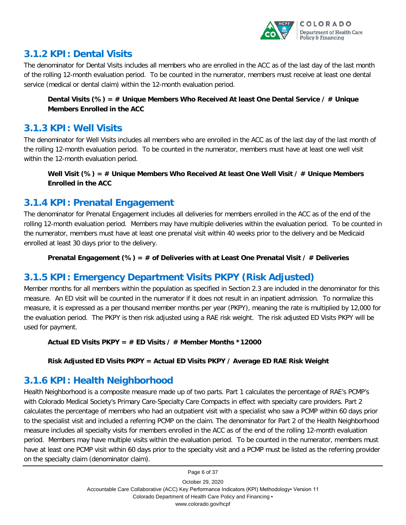

### <span id="page-10-0"></span>**3.1.2 KPI: Dental Visits**

The denominator for Dental Visits includes all members who are enrolled in the ACC as of the last day of the last month of the rolling 12-month evaluation period. To be counted in the numerator, members must receive at least one dental service (medical or dental claim) within the 12-month evaluation period.

#### **Dental Visits (%) = # Unique Members Who Received At least One Dental Service / # Unique Members Enrolled in the ACC**

### <span id="page-10-1"></span>**3.1.3 KPI: Well Visits**

The denominator for Well Visits includes all members who are enrolled in the ACC as of the last day of the last month of the rolling 12-month evaluation period. To be counted in the numerator, members must have at least one well visit within the 12-month evaluation period.

#### **Well Visit (%) = # Unique Members Who Received At least One Well Visit / # Unique Members Enrolled in the ACC**

### <span id="page-10-2"></span>**3.1.4 KPI: Prenatal Engagement**

The denominator for Prenatal Engagement includes all deliveries for members enrolled in the ACC as of the end of the rolling 12-month evaluation period. Members may have multiple deliveries within the evaluation period. To be counted in the numerator, members must have at least one prenatal visit within 40 weeks prior to the delivery and be Medicaid enrolled at least 30 days prior to the delivery.

#### **Prenatal Engagement (%) = # of Deliveries with at Least One Prenatal Visit / # Deliveries**

### <span id="page-10-3"></span>**3.1.5 KPI: Emergency Department Visits PKPY (Risk Adjusted)**

Member months for all members within the population as specified in Section 2.3 are included in the denominator for this measure. An ED visit will be counted in the numerator if it does not result in an inpatient admission. To normalize this measure, it is expressed as a per thousand member months per year (PKPY), meaning the rate is multiplied by 12,000 for the evaluation period. The PKPY is then risk adjusted using a RAE risk weight. The risk adjusted ED Visits PKPY will be used for payment.

#### **Actual ED Visits PKPY = # ED Visits / # Member Months \*12000**

#### **Risk Adjusted ED Visits PKPY = Actual ED Visits PKPY / Average ED RAE Risk Weight**

### <span id="page-10-4"></span>**3.1.6 KPI: Health Neighborhood**

Health Neighborhood is a composite measure made up of two parts. Part 1 calculates the percentage of RAE's PCMP's with Colorado Medical Society's Primary Care-Specialty Care Compacts in effect with specialty care providers. Part 2 calculates the percentage of members who had an outpatient visit with a specialist who saw a PCMP within 60 days prior to the specialist visit and included a referring PCMP on the claim. The denominator for Part 2 of the Health Neighborhood measure includes all specialty visits for members enrolled in the ACC as of the end of the rolling 12-month evaluation period. Members may have multiple visits within the evaluation period. To be counted in the numerator, members must have at least one PCMP visit within 60 days prior to the specialty visit and a PCMP must be listed as the referring provider on the specialty claim (denominator claim).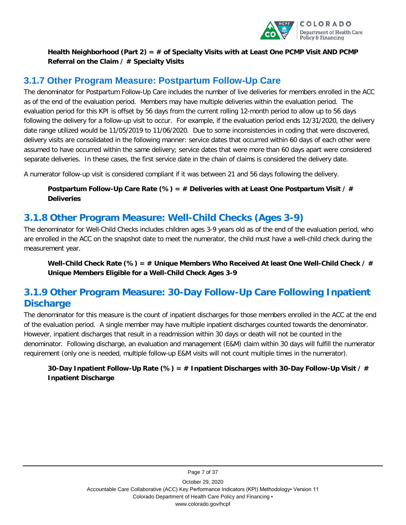

**Health Neighborhood (Part 2) = # of Specialty Visits with at Least One PCMP Visit AND PCMP Referral on the Claim / # Specialty Visits**

### <span id="page-11-0"></span>**3.1.7 Other Program Measure: Postpartum Follow-Up Care**

The denominator for Postpartum Follow-Up Care includes the number of live deliveries for members enrolled in the ACC as of the end of the evaluation period. Members may have multiple deliveries within the evaluation period. The evaluation period for this KPI is offset by 56 days from the current rolling 12-month period to allow up to 56 days following the delivery for a follow-up visit to occur. For example, if the evaluation period ends 12/31/2020, the delivery date range utilized would be 11/05/2019 to 11/06/2020. Due to some inconsistencies in coding that were discovered, delivery visits are consolidated in the following manner: service dates that occurred within 60 days of each other were assumed to have occurred within the same delivery; service dates that were more than 60 days apart were considered separate deliveries. In these cases, the first service date in the chain of claims is considered the delivery date.

A numerator follow-up visit is considered compliant if it was between 21 and 56 days following the delivery.

**Postpartum Follow-Up Care Rate (%) = # Deliveries with at Least One Postpartum Visit / # Deliveries** 

### <span id="page-11-1"></span>**3.1.8 Other Program Measure: Well-Child Checks (Ages 3-9)**

The denominator for Well-Child Checks includes children ages 3-9 years old as of the end of the evaluation period, who are enrolled in the ACC on the snapshot date to meet the numerator, the child must have a well-child check during the measurement year.

**Well-Child Check Rate (%) = # Unique Members Who Received At least One Well-Child Check / # Unique Members Eligible for a Well-Child Check Ages 3-9**

### <span id="page-11-2"></span>**3.1.9 Other Program Measure: 30-Day Follow-Up Care Following Inpatient Discharge**

The denominator for this measure is the count of inpatient discharges for those members enrolled in the ACC at the end of the evaluation period. A single member may have multiple inpatient discharges counted towards the denominator. However, inpatient discharges that result in a readmission within 30 days or death will not be counted in the denominator. Following discharge, an evaluation and management (E&M) claim within 30 days will fulfill the numerator requirement (only one is needed, multiple follow-up E&M visits will not count multiple times in the numerator).

#### **30-Day Inpatient Follow-Up Rate (%) = # Inpatient Discharges with 30-Day Follow-Up Visit / # Inpatient Discharge**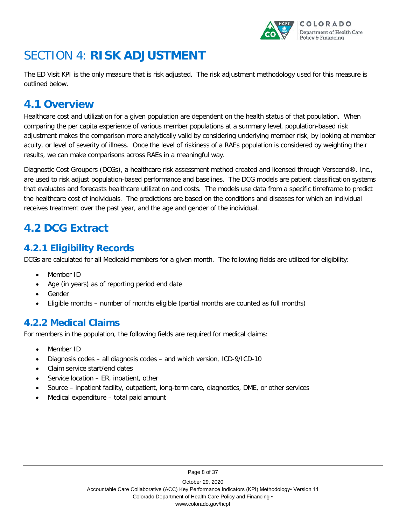

# <span id="page-12-0"></span>SECTION 4: **RISK ADJUSTMENT**

The ED Visit KPI is the only measure that is risk adjusted. The risk adjustment methodology used for this measure is outlined below.

# <span id="page-12-1"></span>**4.1 Overview**

Healthcare cost and utilization for a given population are dependent on the health status of that population. When comparing the per capita experience of various member populations at a summary level, population-based risk adjustment makes the comparison more analytically valid by considering underlying member risk, by looking at member acuity, or level of severity of illness. Once the level of riskiness of a RAEs population is considered by weighting their results, we can make comparisons across RAEs in a meaningful way.

Diagnostic Cost Groupers (DCGs), a healthcare risk assessment method created and licensed through Verscend®, Inc., are used to risk adjust population-based performance and baselines. The DCG models are patient classification systems that evaluates and forecasts healthcare utilization and costs. The models use data from a specific timeframe to predict the healthcare cost of individuals. The predictions are based on the conditions and diseases for which an individual receives treatment over the past year, and the age and gender of the individual.

# <span id="page-12-2"></span>**4.2 DCG Extract**

### <span id="page-12-3"></span>**4.2.1 Eligibility Records**

DCGs are calculated for all Medicaid members for a given month. The following fields are utilized for eligibility:

- Member ID
- Age (in years) as of reporting period end date
- Gender
- Eligible months number of months eligible (partial months are counted as full months)

### <span id="page-12-4"></span>**4.2.2 Medical Claims**

For members in the population, the following fields are required for medical claims:

- Member ID
- Diagnosis codes all diagnosis codes and which version, ICD-9/ICD-10
- Claim service start/end dates
- Service location ER, inpatient, other
- Source inpatient facility, outpatient, long-term care, diagnostics, DME, or other services
- Medical expenditure total paid amount

Page 8 of 37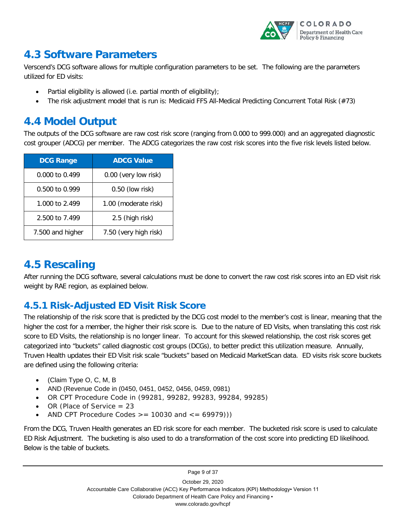

# <span id="page-13-0"></span>**4.3 Software Parameters**

Verscend's DCG software allows for multiple configuration parameters to be set. The following are the parameters utilized for ED visits:

- Partial eligibility is allowed (i.e. partial month of eligibility);
- The risk adjustment model that is run is: Medicaid FFS All-Medical Predicting Concurrent Total Risk (#73)

# <span id="page-13-1"></span>**4.4 Model Output**

The outputs of the DCG software are raw cost risk score (ranging from 0.000 to 999.000) and an aggregated diagnostic cost grouper (ADCG) per member. The ADCG categorizes the raw cost risk scores into the five risk levels listed below.

| <b>DCG Range</b> | <b>ADCG Value</b>     |
|------------------|-----------------------|
| 0.000 to 0.499   | 0.00 (very low risk)  |
| 0.500 to 0.999   | $0.50$ (low risk)     |
| 1,000 to 2,499   | 1.00 (moderate risk)  |
| 2.500 to 7.499   | 2.5 (high risk)       |
| 7.500 and higher | 7.50 (very high risk) |

# <span id="page-13-2"></span>**4.5 Rescaling**

After running the DCG software, several calculations must be done to convert the raw cost risk scores into an ED visit risk weight by RAE region, as explained below.

### <span id="page-13-3"></span>**4.5.1 Risk-Adjusted ED Visit Risk Score**

The relationship of the risk score that is predicted by the DCG cost model to the member's cost is linear, meaning that the higher the cost for a member, the higher their risk score is. Due to the nature of ED Visits, when translating this cost risk score to ED Visits, the relationship is no longer linear. To account for this skewed relationship, the cost risk scores get categorized into "buckets" called diagnostic cost groups (DCGs), to better predict this utilization measure. Annually, Truven Health updates their ED Visit risk scale "buckets" based on Medicaid MarketScan data. ED visits risk score buckets are defined using the following criteria:

- (Claim Type O, C, M, B
- AND (Revenue Code in (0450, 0451, 0452, 0456, 0459, 0981)
- OR CPT Procedure Code in (99281, 99282, 99283, 99284, 99285)
- OR (Place of Service = 23
- AND CPT Procedure Codes  $>$  = 10030 and  $<$  = 69979)))

From the DCG, Truven Health generates an ED risk score for each member. The bucketed risk score is used to calculate ED Risk Adjustment. The bucketing is also used to do a transformation of the cost score into predicting ED likelihood. Below is the table of buckets.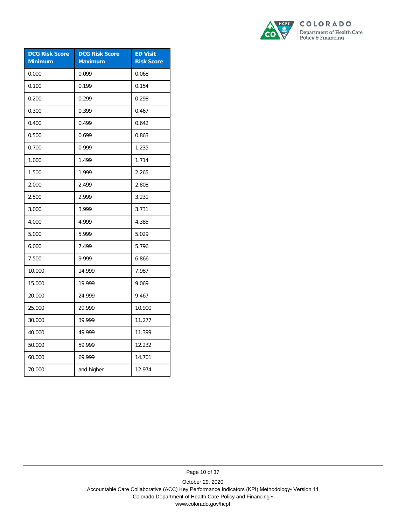

| <b>DCG Risk Score</b><br><b>Minimum</b> | <b>DCG Risk Score</b><br><b>Maximum</b> | <b>ED Visit</b><br><b>Risk Score</b> |
|-----------------------------------------|-----------------------------------------|--------------------------------------|
| 0.000                                   | 0.099                                   | 0.068                                |
| 0.100                                   | 0.199                                   | 0.154                                |
| 0.200                                   | 0.299                                   | 0.298                                |
| 0.300                                   | 0.399                                   | 0.467                                |
| 0.400                                   | 0.499                                   | 0.642                                |
| 0.500                                   | 0.699                                   | 0.863                                |
| 0.700                                   | 0.999                                   | 1.235                                |
| 1.000                                   | 1.499                                   | 1.714                                |
| 1.500                                   | 1.999                                   | 2.265                                |
| 2.000                                   | 2.499                                   | 2.808                                |
| 2.500                                   | 2.999                                   | 3.231                                |
| 3.000                                   | 3.999                                   | 3.731                                |
| 4.000                                   | 4.999                                   | 4.385                                |
| 5.000                                   | 5.999                                   | 5.029                                |
| 6.000                                   | 7.499                                   | 5.796                                |
| 7.500                                   | 9.999                                   | 6.866                                |
| 10.000                                  | 14.999                                  | 7.987                                |
| 15.000                                  | 19.999                                  | 9.069                                |
| 20.000                                  | 24.999                                  | 9.467                                |
| 25.000                                  | 29.999                                  | 10.900                               |
| 30.000                                  | 39.999                                  | 11.277                               |
| 40.000                                  | 49.999                                  | 11.399                               |
| 50.000                                  | 59.999                                  | 12.232                               |
| 60.000                                  | 69.999                                  | 14.701                               |
| 70.000                                  | and higher                              | 12.974                               |

October 29, 2020 Accountable Care Collaborative (ACC) Key Performance Indicators (KPI) Methodology• Version 11 Colorado Department of Health Care Policy and Financing ▪ www.colorado.gov/hcpf

Page 10 of 37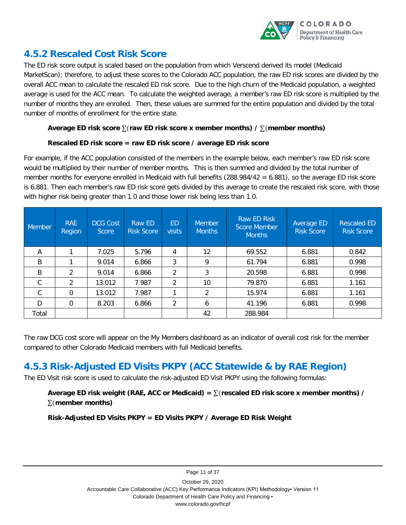

### <span id="page-15-0"></span>**4.5.2 Rescaled Cost Risk Score**

The ED risk score output is scaled based on the population from which Verscend derived its model (Medicaid MarketScan); therefore, to adjust these scores to the Colorado ACC population, the raw ED risk scores are divided by the overall ACC mean to calculate the rescaled ED risk score. Due to the high churn of the Medicaid population, a weighted average is used for the ACC mean. To calculate the weighted average, a member's raw ED risk score is multiplied by the number of months they are enrolled. Then, these values are summed for the entire population and divided by the total number of months of enrollment for the entire state.

#### **Average ED risk score** ∑(**raw ED risk score x member months) /** ∑(**member months)**

#### **Rescaled ED risk score = raw ED risk score / average ED risk score**

For example, if the ACC population consisted of the members in the example below, each member's raw ED risk score would be multiplied by their number of member months. This is then summed and divided by the total number of member months for everyone enrolled in Medicaid with full benefits (288.984/42 = 6.881), so the average ED risk score is 6.881. Then each member's raw ED risk score gets divided by this average to create the rescaled risk score, with those with higher risk being greater than 1.0 and those lower risk being less than 1.0.

| Member | <b>RAE</b><br>Region | <b>DCG Cost</b><br><b>Score</b> | Raw ED<br><b>Risk Score</b> | <b>ED</b><br><b>visits</b> | <b>Member</b><br><b>Months</b> | Raw ED Risk<br><b>Score Member</b><br><b>Months</b> | Average ED<br><b>Risk Score</b> | <b>Rescaled ED</b><br><b>Risk Score</b> |
|--------|----------------------|---------------------------------|-----------------------------|----------------------------|--------------------------------|-----------------------------------------------------|---------------------------------|-----------------------------------------|
| Α      |                      | 7.025                           | 5.796                       | 4                          | 12                             | 69.552                                              | 6.881                           | 0.842                                   |
| B      |                      | 9.014                           | 6.866                       | 3                          | 9                              | 61.794                                              | 6.881                           | 0.998                                   |
| B      | $\mathcal{P}$        | 9.014                           | 6.866                       | 2                          | 3                              | 20.598                                              | 6.881                           | 0.998                                   |
| С      | $\mathcal{P}$        | 13.012                          | 7.987                       | $\overline{2}$             | 10                             | 79.870                                              | 6.881                           | 1.161                                   |
| C      | $\Omega$             | 13.012                          | 7.987                       |                            | 2                              | 15.974                                              | 6.881                           | 1.161                                   |
| D      | 0                    | 8.203                           | 6.866                       | $\overline{2}$             | 6                              | 41.196                                              | 6.881                           | 0.998                                   |
| Total  |                      |                                 |                             |                            | 42                             | 288.984                                             |                                 |                                         |

The raw DCG cost score will appear on the My Members dashboard as an indicator of overall cost risk for the member compared to other Colorado Medicaid members with full Medicaid benefits.

### <span id="page-15-1"></span>**4.5.3 Risk-Adjusted ED Visits PKPY (ACC Statewide & by RAE Region)**

The ED Visit risk score is used to calculate the risk-adjusted ED Visit PKPY using the following formulas:

### **Average ED risk weight (RAE, ACC or Medicaid) =** ∑(**rescaled ED risk score x member months) /**  ∑(**member months)**

**Risk-Adjusted ED Visits PKPY = ED Visits PKPY / Average ED Risk Weight**

Page 11 of 37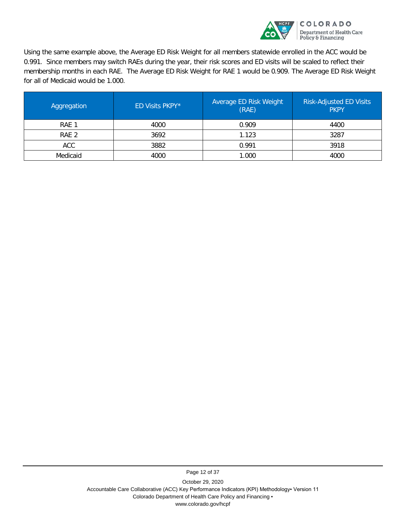

Using the same example above, the Average ED Risk Weight for all members statewide enrolled in the ACC would be 0.991. Since members may switch RAEs during the year, their risk scores and ED visits will be scaled to reflect their membership months in each RAE. The Average ED Risk Weight for RAE 1 would be 0.909. The Average ED Risk Weight for all of Medicaid would be 1.000.

| Aggregation | ED Visits PKPY* | Average ED Risk Weight<br>(RAE) | <b>Risk-Adjusted ED Visits</b><br><b>PKPY</b> |
|-------------|-----------------|---------------------------------|-----------------------------------------------|
| RAE 1       | 4000            | 0.909                           | 4400                                          |
| RAE 2       | 3692            | 1.123                           | 3287                                          |
| ACC         | 3882            | 0.991                           | 3918                                          |
| Medicaid    | 4000            | 000. ا                          | 4000                                          |

Page 12 of 37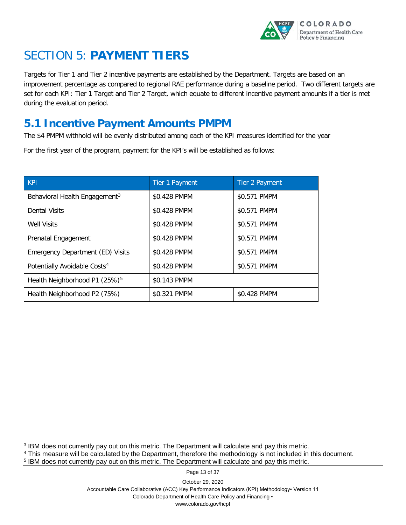

# <span id="page-17-0"></span>SECTION 5: **PAYMENT TIERS**

Targets for Tier 1 and Tier 2 incentive payments are established by the Department. Targets are based on an improvement percentage as compared to regional RAE performance during a baseline period. Two different targets are set for each KPI: Tier 1 Target and Tier 2 Target, which equate to different incentive payment amounts if a tier is met during the evaluation period.

# <span id="page-17-1"></span>**5.1 Incentive Payment Amounts PMPM**

The \$4 PMPM withhold will be evenly distributed among each of the KPI measures identified for the year

For the first year of the program, payment for the KPI's will be established as follows:

| <b>KPI</b>                                | <b>Tier 1 Payment</b> | <b>Tier 2 Payment</b> |
|-------------------------------------------|-----------------------|-----------------------|
| Behavioral Health Engagement <sup>3</sup> | \$0.428 PMPM          | \$0.571 PMPM          |
| Dental Visits                             | \$0.428 PMPM          | \$0.571 PMPM          |
| <b>Well Visits</b>                        | \$0.428 PMPM          | \$0.571 PMPM          |
| Prenatal Engagement                       | \$0.428 PMPM          | \$0.571 PMPM          |
| Emergency Department (ED) Visits          | \$0.428 PMPM          | \$0.571 PMPM          |
| Potentially Avoidable Costs <sup>4</sup>  | \$0.428 PMPM          | \$0.571 PMPM          |
| Health Neighborhood P1 (25%) <sup>5</sup> | \$0.143 PMPM          |                       |
| Health Neighborhood P2 (75%)              | \$0.321 PMPM          | \$0.428 PMPM          |

-

Page 13 of 37

<span id="page-17-2"></span><sup>3</sup> IBM does not currently pay out on this metric. The Department will calculate and pay this metric.

<span id="page-17-3"></span><sup>4</sup> This measure will be calculated by the Department, therefore the methodology is not included in this document.

<span id="page-17-4"></span><sup>5</sup> IBM does not currently pay out on this metric. The Department will calculate and pay this metric.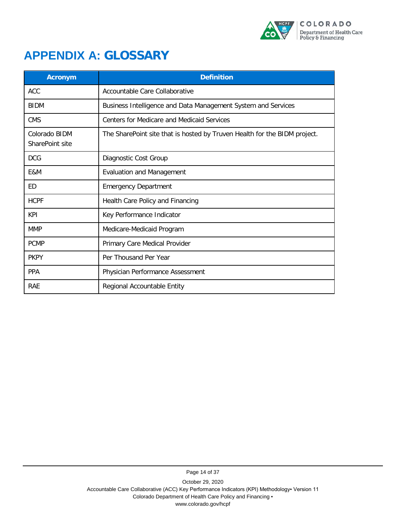

# <span id="page-18-0"></span>**APPENDIX A: GLOSSARY**

| <b>Acronym</b>                   | <b>Definition</b>                                                         |
|----------------------------------|---------------------------------------------------------------------------|
| <b>ACC</b>                       | Accountable Care Collaborative                                            |
| <b>BIDM</b>                      | Business Intelligence and Data Management System and Services             |
| <b>CMS</b>                       | Centers for Medicare and Medicaid Services                                |
| Colorado BIDM<br>SharePoint site | The SharePoint site that is hosted by Truven Health for the BIDM project. |
| <b>DCG</b>                       | Diagnostic Cost Group                                                     |
| E&M                              | <b>Evaluation and Management</b>                                          |
| <b>ED</b>                        | <b>Emergency Department</b>                                               |
| <b>HCPF</b>                      | Health Care Policy and Financing                                          |
| KPI                              | Key Performance Indicator                                                 |
| <b>MMP</b>                       | Medicare-Medicaid Program                                                 |
| <b>PCMP</b>                      | Primary Care Medical Provider                                             |
| <b>PKPY</b>                      | Per Thousand Per Year                                                     |
| <b>PPA</b>                       | Physician Performance Assessment                                          |
| <b>RAE</b>                       | Regional Accountable Entity                                               |

Page 14 of 37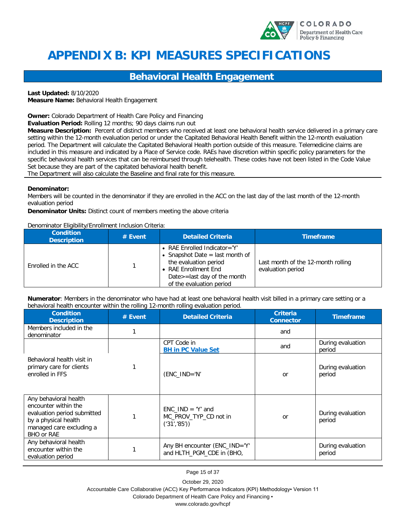

# <span id="page-19-0"></span>**APPENDIX B: KPI MEASURES SPECIFICATIONS**

### **Behavioral Health Engagement**

**Last Updated:** 8/10/2020

**Measure Name:** Behavioral Health Engagement

**Owner:** Colorado Department of Health Care Policy and Financing

**Evaluation Period:** Rolling 12 months; 90 days claims run out

**Measure Description:** Percent of distinct members who received at least one behavioral health service delivered in a primary care setting within the 12-month evaluation period or under the Capitated Behavioral Health Benefit within the 12-month evaluation period. The Department will calculate the Capitated Behavioral Health portion outside of this measure. Telemedicine claims are included in this measure and indicated by a Place of Service code. RAEs have discretion within specific policy parameters for the specific behavioral health services that can be reimbursed through telehealth. These codes have not been listed in the Code Value Set because they are part of the capitated behavioral health benefit.

The Department will also calculate the Baseline and final rate for this measure.

#### **Denominator:**

Members will be counted in the denominator if they are enrolled in the ACC on the last day of the last month of the 12-month evaluation period

**Denominator Units:** Distinct count of members meeting the above criteria

Denominator Eligibility/Enrollment Inclusion Criteria:

| <b>Condition</b><br><b>Description</b> | $#$ Event | <b>Detailed Criteria</b>                                                                                                                                                         | <b>Timeframe</b>                                        |
|----------------------------------------|-----------|----------------------------------------------------------------------------------------------------------------------------------------------------------------------------------|---------------------------------------------------------|
| Enrolled in the ACC                    |           | • RAE Enrolled Indicator= $'Y'$<br>• Snapshot Date $=$ last month of<br>the evaluation period<br>• RAE Enrollment End<br>Date>=last day of the month<br>of the evaluation period | Last month of the 12-month rolling<br>evaluation period |

**Numerator**: Members in the denominator who have had at least one behavioral health visit billed in a primary care setting or a behavioral health encounter within the rolling 12-month rolling evaluation period.

| <b>Condition</b><br><b>Description</b>                                                                                                                | $#$ Event | <b>Detailed Criteria</b>                                     | <b>Criteria</b><br><b>Connector</b> | <b>Timeframe</b>            |
|-------------------------------------------------------------------------------------------------------------------------------------------------------|-----------|--------------------------------------------------------------|-------------------------------------|-----------------------------|
| Members included in the<br>denominator                                                                                                                |           |                                                              | and                                 |                             |
|                                                                                                                                                       |           | CPT Code in<br><b>BH in PC Value Set</b>                     | and                                 | During evaluation<br>period |
| Behavioral health visit in<br>primary care for clients<br>enrolled in FFS                                                                             |           | $(ENC_IND='N'$                                               | <sub>or</sub>                       | During evaluation<br>period |
| Any behavioral health<br>encounter within the<br>evaluation period submitted<br>by a physical health<br>managed care excluding a<br><b>BHO or RAE</b> |           | $ENC$ IND = 'Y' and<br>MC PROV TYP CD not in<br>('31', '85') | or                                  | During evaluation<br>period |
| Any behavioral health<br>encounter within the<br>evaluation period                                                                                    |           | Any BH encounter (ENC_IND='Y'<br>and HLTH PGM CDE in (BHO,   |                                     | During evaluation<br>period |

Page 15 of 37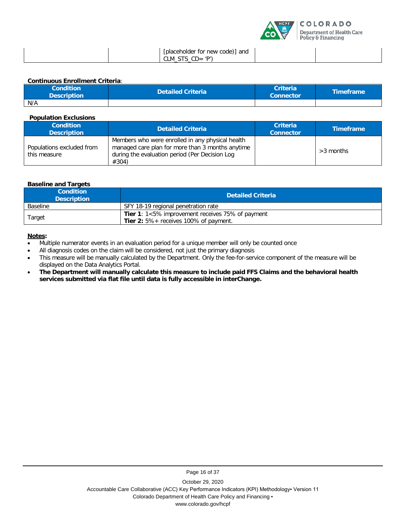

| placeholder for new code)  and<br><u>ורוו</u><br>∪LM |
|------------------------------------------------------|
|------------------------------------------------------|

**Continuous Enrollment Criteria**:

| <b>Condition</b><br><b>Description</b> | <b>Detailed Criteria</b> | <b>Criteria</b><br><b>Connector</b> | <b>Timeframe</b> |
|----------------------------------------|--------------------------|-------------------------------------|------------------|
| N/A                                    |                          |                                     |                  |

**Population Exclusions** 

| <b>Condition</b><br><b>Description</b>    | <b>Detailed Criteria</b>                                                                                                                                        | <b>Criteria</b><br><b>Connector</b> | <b>Timeframe</b> |
|-------------------------------------------|-----------------------------------------------------------------------------------------------------------------------------------------------------------------|-------------------------------------|------------------|
| Populations excluded from<br>this measure | Members who were enrolled in any physical health<br>managed care plan for more than 3 months anytime<br>during the evaluation period (Per Decision Log<br>#304) |                                     | $>3$ months      |

#### **Baseline and Targets**

| <b>Condition</b><br><b>Description</b> | <b>Detailed Criteria</b>                                      |
|----------------------------------------|---------------------------------------------------------------|
| <b>Baseline</b>                        | SFY 18-19 regional penetration rate                           |
|                                        | <b>Tier 1</b> : $1 < 5\%$ improvement receives 75% of payment |
| Target                                 | <b>Tier 2:</b> $5\%$ + receives 100% of payment.              |

#### **Notes:**

- Multiple numerator events in an evaluation period for a unique member will only be counted once
- All diagnosis codes on the claim will be considered, not just the primary diagnosis
- This measure will be manually calculated by the Department. Only the fee-for-service component of the measure will be displayed on the Data Analytics Portal.
- **The Department will manually calculate this measure to include paid FFS Claims and the behavioral health services submitted via flat file until data is fully accessible in interChange.**

Page 16 of 37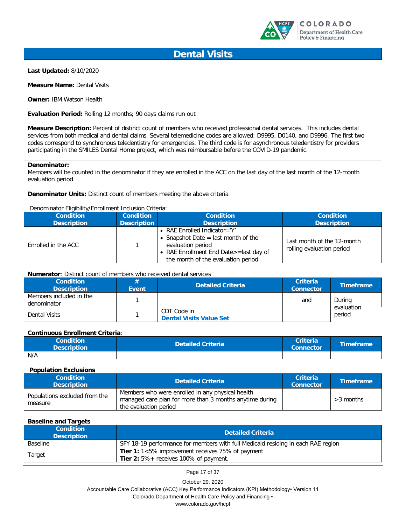

### **Dental Visits**

**Last Updated:** 8/10/2020

**Measure Name:** Dental Visits

**Owner:** IBM Watson Health

**Evaluation Period:** Rolling 12 months; 90 days claims run out

**Measure Description:** Percent of distinct count of members who received professional dental services. This includes dental services from both medical and dental claims. Several telemedicine codes are allowed: D9995, D0140, and D9996. The first two codes correspond to synchronous teledentistry for emergencies. The third code is for asynchronous teledentistry for providers participating in the SMILES Dental Home project, which was reimbursable before the COVID-19 pandemic.

#### **Denominator:**

Members will be counted in the denominator if they are enrolled in the ACC on the last day of the last month of the 12-month evaluation period

#### **Denominator Units:** Distinct count of members meeting the above criteria

#### Denominator Eligibility/Enrollment Inclusion Criteria:

| <b>Condition</b>    | <b>Condition</b>   | <b>Condition</b>                                                                                                                                                     | <b>Condition</b>                                        |
|---------------------|--------------------|----------------------------------------------------------------------------------------------------------------------------------------------------------------------|---------------------------------------------------------|
| <b>Description</b>  | <b>Description</b> | <b>Description</b>                                                                                                                                                   | <b>Description</b>                                      |
| Enrolled in the ACC |                    | RAE Enrolled Indicator='Y'<br>Snapshot Date = last month of the<br>evaluation period<br>• RAE Enrollment End Date>=last day of<br>the month of the evaluation period | Last month of the 12-month<br>rolling evaluation period |

#### **Numerator**: Distinct count of members who received dental services

| <b>Condition</b><br><b>Description</b> | #<br><b>Event</b> | <b>Detailed Criteria</b>                      | Criteria<br><b>Connector</b> | ' Timeframe          |
|----------------------------------------|-------------------|-----------------------------------------------|------------------------------|----------------------|
| Members included in the<br>denominator |                   |                                               | and                          | During<br>evaluation |
| Dental Visits                          |                   | CDT Code in<br><b>Dental Visits Value Set</b> |                              | period               |

#### **Continuous Enrollment Criteria**:

| Condition<br><b>Description</b> | <b>Detailed Criteria</b> | <b>Criteria</b><br><b>Connector</b> | <b>Timeframe</b> |
|---------------------------------|--------------------------|-------------------------------------|------------------|
| N/A                             |                          |                                     |                  |

#### **Population Exclusions**

| <b>Condition</b><br><b>Description</b>   | <b>Detailed Criteria</b>                                                                                                             | <b>Criteria</b><br><b>Connector</b> | <b>Timeframe</b> |
|------------------------------------------|--------------------------------------------------------------------------------------------------------------------------------------|-------------------------------------|------------------|
| Populations excluded from the<br>measure | Members who were enrolled in any physical health<br>managed care plan for more than 3 months anytime during<br>the evaluation period |                                     | $>3$ months      |

#### **Baseline and Targets**

| <b>Condition</b><br><b>Description</b> | <b>Detailed Criteria</b>                                                                             |
|----------------------------------------|------------------------------------------------------------------------------------------------------|
| <b>Baseline</b>                        | SFY 18-19 performance for members with full Medicaid residing in each RAE region                     |
| Target                                 | Tier 1: 1<5% improvement receives 75% of payment<br><b>Tier 2:</b> $5\%$ + receives 100% of payment. |

Page 17 of 37

October 29, 2020

Accountable Care Collaborative (ACC) Key Performance Indicators (KPI) Methodology▪ Version 11 Colorado Department of Health Care Policy and Financing ▪

www.colorado.gov/hcpf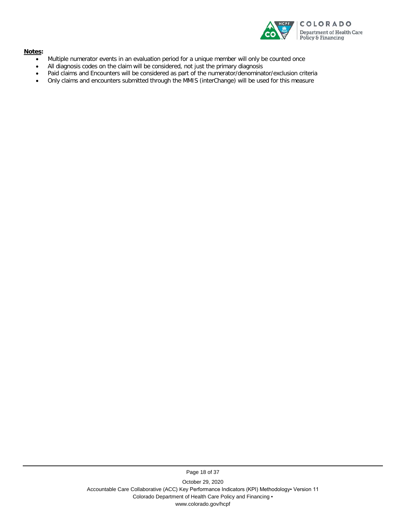

#### **Notes:**

- Multiple numerator events in an evaluation period for a unique member will only be counted once
- All diagnosis codes on the claim will be considered, not just the primary diagnosis
- Paid claims and Encounters will be considered as part of the numerator/denominator/exclusion criteria
- Only claims and encounters submitted through the MMIS (interChange) will be used for this measure

October 29, 2020 Accountable Care Collaborative (ACC) Key Performance Indicators (KPI) Methodology• Version 11 Colorado Department of Health Care Policy and Financing ▪ www.colorado.gov/hcpf

Page 18 of 37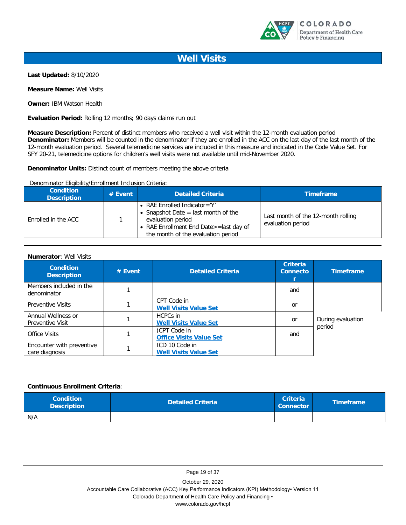

### **Well Visits**

**Last Updated:** 8/10/2020

**Measure Name:** Well Visits

**Owner:** IBM Watson Health

**Evaluation Period:** Rolling 12 months; 90 days claims run out

**Measure Description:** Percent of distinct members who received a well visit within the 12-month evaluation period **Denominator:** Members will be counted in the denominator if they are enrolled in the ACC on the last day of the last month of the 12-month evaluation period. Several telemedicine services are included in this measure and indicated in the Code Value Set. For SFY 20-21, telemedicine options for children's well visits were not available until mid-November 2020.

**Denominator Units:** Distinct count of members meeting the above criteria

Denominator Eligibility/Enrollment Inclusion Criteria:

| <b>Condition</b><br><b>Description</b> | $#$ Event | <b>Detailed Criteria</b>                                                                                                                                               | <b>Timeframe</b>                                        |
|----------------------------------------|-----------|------------------------------------------------------------------------------------------------------------------------------------------------------------------------|---------------------------------------------------------|
| Enrolled in the ACC                    |           | RAE Enrolled Indicator='Y'<br>Snapshot Date $=$ last month of the<br>evaluation period<br>• RAE Enrollment End Date>=last day of<br>the month of the evaluation period | Last month of the 12-month rolling<br>evaluation period |

#### **Numerator**: Well Visits

| <b>Condition</b><br><b>Description</b>        | $#$ Event | <b>Detailed Criteria</b>                       | <b>Criteria</b><br><b>Connecto</b> | <b>Timeframe</b>  |
|-----------------------------------------------|-----------|------------------------------------------------|------------------------------------|-------------------|
| Members included in the<br>denominator        |           |                                                | and                                |                   |
| <b>Preventive Visits</b>                      |           | CPT Code in<br><b>Well Visits Value Set</b>    | or                                 |                   |
| Annual Wellness or<br><b>Preventive Visit</b> |           | HCPCs in<br><b>Well Visits Value Set</b>       | or                                 | During evaluation |
| Office Visits                                 |           | (CPT Code in<br><b>Office Visits Value Set</b> | and                                | period            |
| Encounter with preventive<br>care diagnosis   |           | ICD 10 Code in<br><b>Well Visits Value Set</b> |                                    |                   |

#### **Continuous Enrollment Criteria**:

| <b>Condition</b><br><b>Description</b> | <b>Detailed Criteria</b> | <b>Criteria</b><br><b>Connector</b> | <b>Timeframe</b> |
|----------------------------------------|--------------------------|-------------------------------------|------------------|
| N/A                                    |                          |                                     |                  |

Page 19 of 37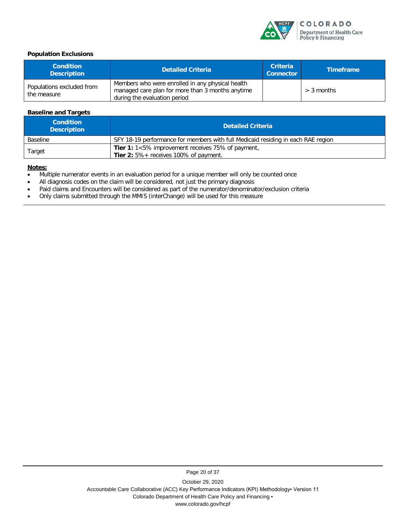

#### **Population Exclusions**

| <b>Condition</b><br><b>Description</b>   | <b>Detailed Criteria</b>                                                                                                             | <b>Criteria</b><br><b>Connector</b> | <b>Timeframe</b> |
|------------------------------------------|--------------------------------------------------------------------------------------------------------------------------------------|-------------------------------------|------------------|
| Populations excluded from<br>the measure | Members who were enrolled in any physical health<br>managed care plan for more than 3 months anytime<br>during the evaluation period |                                     | $>$ 3 months     |

#### **Baseline and Targets**

| <b>Condition</b><br><b>Description</b> | <b>Detailed Criteria</b>                                                                                     |
|----------------------------------------|--------------------------------------------------------------------------------------------------------------|
| <b>Baseline</b>                        | SFY 18-19 performance for members with full Medicaid residing in each RAE region                             |
| Target                                 | <b>Tier 1:</b> 1<5% improvement receives 75% of payment,<br><b>Tier 2:</b> $5\%$ + receives 100% of payment. |

#### **Notes:**

- Multiple numerator events in an evaluation period for a unique member will only be counted once
- All diagnosis codes on the claim will be considered, not just the primary diagnosis<br>• Paid claims and Encounters will be considered as part of the numerator/denomina
- Paid claims and Encounters will be considered as part of the numerator/denominator/exclusion criteria
- Only claims submitted through the MMIS (interChange) will be used for this measure

Page 20 of 37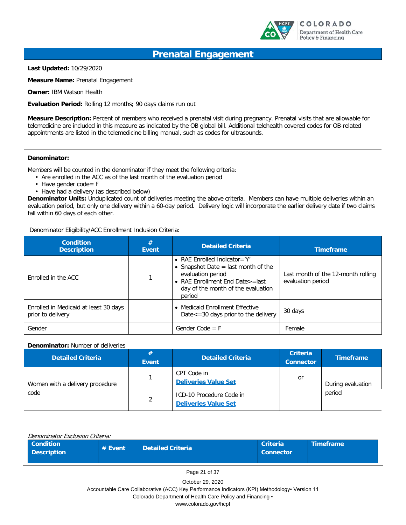

### **Prenatal Engagement**

**Last Updated:** 10/29/2020

**Measure Name:** Prenatal Engagement

**Owner:** IBM Watson Health

**Evaluation Period:** Rolling 12 months; 90 days claims run out

**Measure Description:** Percent of members who received a prenatal visit during pregnancy. Prenatal visits that are allowable for telemedicine are included in this measure as indicated by the OB global bill. Additional telehealth covered codes for OB-related appointments are listed in the telemedicine billing manual, such as codes for ultrasounds.

#### **Denominator:**

Members will be counted in the denominator if they meet the following criteria:

- Are enrolled in the ACC as of the last month of the evaluation period
- Have gender code= F
- Have had a delivery (as described below)

**Denominator Units:** Unduplicated count of deliveries meeting the above criteria. Members can have multiple deliveries within an evaluation period, but only one delivery within a 60-day period. Delivery logic will incorporate the earlier delivery date if two claims fall within 60 days of each other.

Denominator Eligibility/ACC Enrollment Inclusion Criteria:

| <b>Condition</b><br><b>Description</b>                     | #<br>Event | <b>Detailed Criteria</b>                                                                                                                                                         | <b>Timeframe</b>                                        |
|------------------------------------------------------------|------------|----------------------------------------------------------------------------------------------------------------------------------------------------------------------------------|---------------------------------------------------------|
| Enrolled in the ACC                                        |            | • RAE Enrolled Indicator= $'Y'$<br>• Snapshot Date $=$ last month of the<br>evaluation period<br>• RAE Enrollment End Date>=last<br>day of the month of the evaluation<br>period | Last month of the 12-month rolling<br>evaluation period |
| Enrolled in Medicaid at least 30 days<br>prior to delivery |            | • Medicaid Enrollment Effective<br>Date <= 30 days prior to the delivery                                                                                                         | 30 days                                                 |
| Gender                                                     |            | Gender Code $=$ F                                                                                                                                                                | Female                                                  |

#### **Denominator:** Number of deliveries

| <b>Detailed Criteria</b>                | #<br>Event | <b>Detailed Criteria</b>                                | <b>Criteria</b><br><b>Connector</b> | <b>Timeframe</b>  |
|-----------------------------------------|------------|---------------------------------------------------------|-------------------------------------|-------------------|
| Women with a delivery procedure<br>code |            | CPT Code in<br><b>Deliveries Value Set</b>              | or                                  | During evaluation |
|                                         | 2          | ICD-10 Procedure Code in<br><b>Deliveries Value Set</b> |                                     | period            |

| Denominator Exclusion Criteria: |           |                   |                                     |                  |
|---------------------------------|-----------|-------------------|-------------------------------------|------------------|
| <b>Condition</b><br>Description | # Event / | Detailed Criteria | <b>Criteria</b><br><b>Connector</b> | <b>Timeframe</b> |

Page 21 of 37

October 29, 2020

Accountable Care Collaborative (ACC) Key Performance Indicators (KPI) Methodology▪ Version 11

Colorado Department of Health Care Policy and Financing ▪

www.colorado.gov/hcpf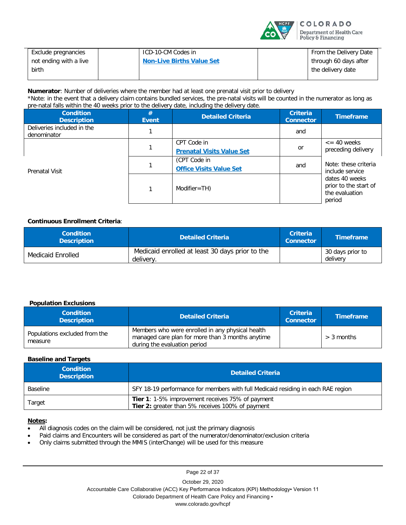

| Exclude pregnancies    | ICD-10-CM Codes in               | From the Delivery Date |
|------------------------|----------------------------------|------------------------|
| not ending with a live | <b>Non-Live Births Value Set</b> | through 60 days after  |
| birth                  |                                  | the delivery date      |
|                        |                                  |                        |

**Numerator**: Number of deliveries where the member had at least one prenatal visit prior to delivery \*Note: in the event that a delivery claim contains bundled services, the pre-natal visits will be counted in the numerator as long as pre-natal falls within the 40 weeks prior to the delivery date, including the delivery date.

| <b>Condition</b><br><b>Description</b>    | #<br>Event | <b>Detailed Criteria</b>                        | <b>Criteria</b><br><b>Connector</b> | <b>Timeframe</b>                                                                                               |
|-------------------------------------------|------------|-------------------------------------------------|-------------------------------------|----------------------------------------------------------------------------------------------------------------|
| Deliveries included in the<br>denominator |            |                                                 | and                                 |                                                                                                                |
| Prenatal Visit                            |            | CPT Code in<br><b>Prenatal Visits Value Set</b> | or                                  | $\epsilon$ = 40 weeks<br>preceding delivery                                                                    |
|                                           |            | (CPT Code in<br><b>Office Visits Value Set</b>  | and                                 | Note: these criteria<br>include service<br>dates 40 weeks<br>prior to the start of<br>the evaluation<br>period |
|                                           | 1          | $Modifier=TH)$                                  |                                     |                                                                                                                |

#### **Continuous Enrollment Criteria**:

| <b>Condition</b><br><b>Description</b> | <b>Detailed Criteria</b>                                     | <b>Criteria</b><br><b>Connector</b> | <b>Timeframe</b>             |
|----------------------------------------|--------------------------------------------------------------|-------------------------------------|------------------------------|
| Medicaid Enrolled                      | Medicaid enrolled at least 30 days prior to the<br>delivery. |                                     | 30 days prior to<br>delivery |

#### **Population Exclusions**

| <b>Condition</b><br><b>Description</b>   | <b>Detailed Criteria</b>                                                                                                             | <b>Criteria</b><br><b>Connector</b> | <b>Timeframe</b> |
|------------------------------------------|--------------------------------------------------------------------------------------------------------------------------------------|-------------------------------------|------------------|
| Populations excluded from the<br>measure | Members who were enrolled in any physical health<br>managed care plan for more than 3 months anytime<br>during the evaluation period |                                     | $>$ 3 months     |

#### **Baseline and Targets**

| <b>Condition</b><br><b>Description</b> | <b>Detailed Criteria</b>                                                                                     |
|----------------------------------------|--------------------------------------------------------------------------------------------------------------|
| <b>Baseline</b>                        | SFY 18-19 performance for members with full Medicaid residing in each RAE region                             |
| Target                                 | <b>Tier 1</b> : 1-5% improvement receives 75% of payment<br>Tier 2: greater than 5% receives 100% of payment |

#### **Notes:**

- All diagnosis codes on the claim will be considered, not just the primary diagnosis
- Paid claims and Encounters will be considered as part of the numerator/denominator/exclusion criteria
- Only claims submitted through the MMIS (interChange) will be used for this measure

Page 22 of 37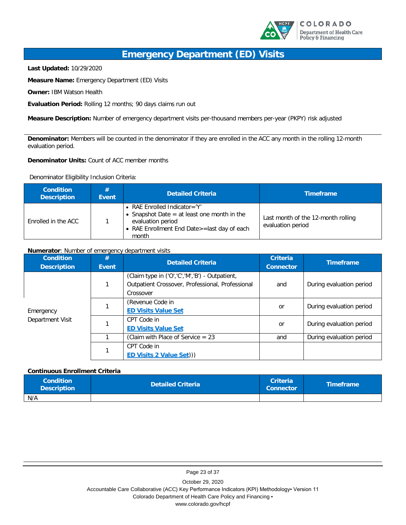

### **Emergency Department (ED) Visits**

**Last Updated:** 10/29/2020

**Measure Name:** Emergency Department (ED) Visits

**Owner:** IBM Watson Health

**Evaluation Period:** Rolling 12 months; 90 days claims run out

**Measure Description:** Number of emergency department visits per-thousand members per-year (PKPY) risk adjusted

**Denominator:** Members will be counted in the denominator if they are enrolled in the ACC any month in the rolling 12-month evaluation period.

**Denominator Units:** Count of ACC member months

Denominator Eligibility Inclusion Criteria:

| <b>Condition</b><br><b>Description</b> | <b>Event</b> | <b>Detailed Criteria</b>                                                                                                                                      | <b>Timeframe</b>                                        |
|----------------------------------------|--------------|---------------------------------------------------------------------------------------------------------------------------------------------------------------|---------------------------------------------------------|
| Enrolled in the ACC                    |              | • RAE Enrolled Indicator= $'Y'$<br>• Snapshot Date $=$ at least one month in the<br>evaluation period<br>• RAE Enrollment End Date>=last day of each<br>month | Last month of the 12-month rolling<br>evaluation period |

#### **Numerator**: Number of emergency department visits

| <b>Condition</b><br><b>Description</b> | #<br>Event | <b>Detailed Criteria</b>                                                                                        | <b>Criteria</b><br><b>Connector</b> | <b>Timeframe</b>         |
|----------------------------------------|------------|-----------------------------------------------------------------------------------------------------------------|-------------------------------------|--------------------------|
| Emergency<br>Department Visit          |            | (Claim type in ('O','C','M','B') - Outpatient,<br>Outpatient Crossover, Professional, Professional<br>Crossover | and                                 | During evaluation period |
|                                        |            | (Revenue Code in<br><b>ED Visits Value Set</b>                                                                  | or                                  | During evaluation period |
|                                        |            | CPT Code in<br><b>ED Visits Value Set</b>                                                                       | <sub>or</sub>                       | During evaluation period |
|                                        |            | (Claim with Place of Service $= 23$                                                                             | and                                 | During evaluation period |
|                                        |            | CPT Code in<br><b>ED Visits 2 Value Set))</b>                                                                   |                                     |                          |

#### **Continuous Enrollment Criteria**

| <b>Condition</b><br><b>Description</b> | <b>Detailed Criteria</b> | <b>Criteria</b><br><b>Connector</b> | <b>Timeframe</b> |
|----------------------------------------|--------------------------|-------------------------------------|------------------|
| N/A                                    |                          |                                     |                  |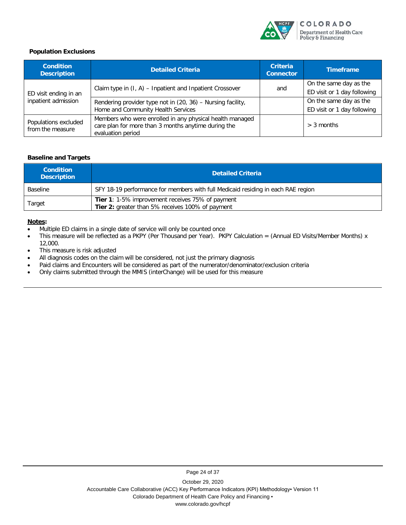

#### **Population Exclusions**

| <b>Condition</b><br><b>Description</b>       | <b>Detailed Criteria</b>                                                                                                             | <b>Criteria</b><br><b>Connector</b> | <b>Timeframe</b>            |
|----------------------------------------------|--------------------------------------------------------------------------------------------------------------------------------------|-------------------------------------|-----------------------------|
|                                              |                                                                                                                                      |                                     | On the same day as the      |
| ED visit ending in an<br>inpatient admission | Claim type in (I, A) - Inpatient and Inpatient Crossover                                                                             | and                                 | ED visit or 1 day following |
|                                              | Rendering provider type not in (20, 36) - Nursing facility,                                                                          |                                     | On the same day as the      |
|                                              | Home and Community Health Services                                                                                                   |                                     | ED visit or 1 day following |
| Populations excluded<br>from the measure     | Members who were enrolled in any physical health managed<br>care plan for more than 3 months anytime during the<br>evaluation period |                                     | $>$ 3 months                |

#### **Baseline and Targets**

| <b>Condition</b><br><b>Description</b> | <b>Detailed Criteria</b>                                                                                    |
|----------------------------------------|-------------------------------------------------------------------------------------------------------------|
| <b>Baseline</b>                        | SFY 18-19 performance for members with full Medicaid residing in each RAE region                            |
| Target                                 | <b>Tier 1:</b> 1-5% improvement receives 75% of payment<br>Tier 2: greater than 5% receives 100% of payment |

#### **Notes:**

- Multiple ED claims in a single date of service will only be counted once
- This measure will be reflected as a PKPY (Per Thousand per Year). PKPY Calculation = (Annual ED Visits/Member Months) x 12,000.
- This measure is risk adjusted
- All diagnosis codes on the claim will be considered, not just the primary diagnosis
- Paid claims and Encounters will be considered as part of the numerator/denominator/exclusion criteria
- Only claims submitted through the MMIS (interChange) will be used for this measure

Page 24 of 37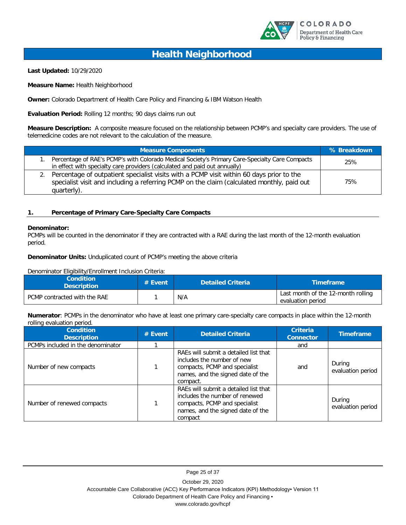

### **Health Neighborhood**

**Last Updated:** 10/29/2020

**Measure Name:** Health Neighborhood

**Owner:** Colorado Department of Health Care Policy and Financing & IBM Watson Health

**Evaluation Period:** Rolling 12 months; 90 days claims run out

**Measure Description:** A composite measure focused on the relationship between PCMP's and specialty care providers. The use of telemedicine codes are not relevant to the calculation of the measure.

| <b>Measure Components</b>                                                                                                                                                                                | % Breakdown |
|----------------------------------------------------------------------------------------------------------------------------------------------------------------------------------------------------------|-------------|
| 1. Percentage of RAE's PCMP's with Colorado Medical Society's Primary Care-Specialty Care Compacts<br>in effect with specialty care providers (calculated and paid out annually)                         | 25%         |
| 2. Percentage of outpatient specialist visits with a PCMP visit within 60 days prior to the<br>specialist visit and including a referring PCMP on the claim (calculated monthly, paid out<br>quarterly). | 75%         |

#### **1. Percentage of Primary Care-Specialty Care Compacts**

#### **Denominator:**

PCMPs will be counted in the denominator if they are contracted with a RAE during the last month of the 12-month evaluation period.

**Denominator Units:** Unduplicated count of PCMP's meeting the above criteria

Denominator Eligibility/Enrollment Inclusion Criteria:

| <b>Condition</b><br><b>Description</b> | $#$ Event | <b>Detailed Criteria</b> | <b>Timeframe</b>                                        |
|----------------------------------------|-----------|--------------------------|---------------------------------------------------------|
| PCMP contracted with the RAE           |           | N/A                      | Last month of the 12-month rolling<br>evaluation period |

**Numerator**: PCMPs in the denominator who have at least one primary care-specialty care compacts in place within the 12-month rolling evaluation period.

| <b>Condition</b><br><b>Description</b> | $#$ Event | <b>Detailed Criteria</b>                                                                                                                                 | <b>Criteria</b><br><b>Connector</b> | <b>Timeframe</b>            |
|----------------------------------------|-----------|----------------------------------------------------------------------------------------------------------------------------------------------------------|-------------------------------------|-----------------------------|
| PCMPs included in the denominator      |           |                                                                                                                                                          | and                                 |                             |
| Number of new compacts                 |           | RAEs will submit a detailed list that<br>includes the number of new<br>compacts, PCMP and specialist<br>names, and the signed date of the<br>compact.    | and                                 | During<br>evaluation period |
| Number of renewed compacts             |           | RAEs will submit a detailed list that<br>includes the number of renewed<br>compacts, PCMP and specialist<br>names, and the signed date of the<br>compact |                                     | During<br>evaluation period |

Page 25 of 37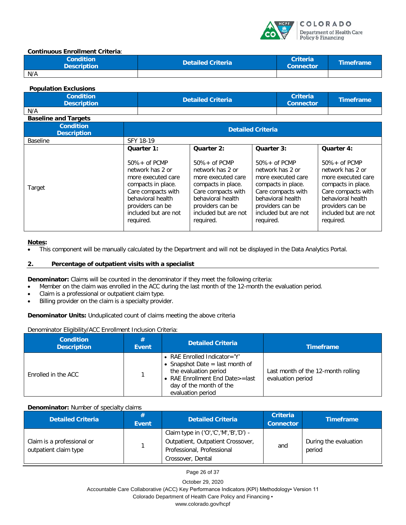

#### **Continuous Enrollment Criteria**:

| Condition <b>\</b><br><b>Description</b> | <b>Detailed Criteria</b> | <b>Criteria</b><br><b>Connector</b> | <b>Timeframe</b> |
|------------------------------------------|--------------------------|-------------------------------------|------------------|
| N/A                                      |                          |                                     |                  |

#### **Population Exclusions**

| ----------------------                 |                   |                                     |                  |
|----------------------------------------|-------------------|-------------------------------------|------------------|
| <b>Condition</b><br><b>Description</b> | Detailed Criteria | <b>Criteria</b><br><b>Connector</b> | <b>Timeframe</b> |
| N/A                                    |                   |                                     |                  |

| <b>Baseline and Targets</b>            |                                                                                                                                                                                      |                                                                                                                                                                                      |                                                                                                                                                                                      |                                                                                                                                                                                      |
|----------------------------------------|--------------------------------------------------------------------------------------------------------------------------------------------------------------------------------------|--------------------------------------------------------------------------------------------------------------------------------------------------------------------------------------|--------------------------------------------------------------------------------------------------------------------------------------------------------------------------------------|--------------------------------------------------------------------------------------------------------------------------------------------------------------------------------------|
| <b>Condition</b><br><b>Description</b> | <b>Detailed Criteria</b>                                                                                                                                                             |                                                                                                                                                                                      |                                                                                                                                                                                      |                                                                                                                                                                                      |
| <b>Baseline</b>                        | SFY 18-19                                                                                                                                                                            |                                                                                                                                                                                      |                                                                                                                                                                                      |                                                                                                                                                                                      |
|                                        | Quarter 1:                                                                                                                                                                           | Quarter 2:                                                                                                                                                                           | Quarter 3:                                                                                                                                                                           | Quarter 4:                                                                                                                                                                           |
| Target                                 | $50\% +$ of PCMP<br>network has 2 or<br>more executed care<br>compacts in place.<br>Care compacts with<br>behavioral health<br>providers can be<br>included but are not<br>required. | $50\% +$ of PCMP<br>network has 2 or<br>more executed care<br>compacts in place.<br>Care compacts with<br>behavioral health<br>providers can be<br>included but are not<br>required. | $50\% +$ of PCMP<br>network has 2 or<br>more executed care<br>compacts in place.<br>Care compacts with<br>behavioral health<br>providers can be<br>included but are not<br>required. | $50\% +$ of PCMP<br>network has 2 or<br>more executed care<br>compacts in place.<br>Care compacts with<br>behavioral health<br>providers can be<br>included but are not<br>required. |

#### **Notes:**

• This component will be manually calculated by the Department and will not be displayed in the Data Analytics Portal.

#### **2. Percentage of outpatient visits with a specialist**

**Denominator:** Claims will be counted in the denominator if they meet the following criteria:

- Member on the claim was enrolled in the ACC during the last month of the 12-month the evaluation period.
- Claim is a professional or outpatient claim type.
- Billing provider on the claim is a specialty provider.

**Denominator Units:** Unduplicated count of claims meeting the above criteria

#### Denominator Eligibility/ACC Enrollment Inclusion Criteria:

| <b>Condition</b><br><b>Description</b> | #<br><b>Event</b> | <b>Detailed Criteria</b>                                                                                                                                                    | <b>Timeframe</b>                                        |
|----------------------------------------|-------------------|-----------------------------------------------------------------------------------------------------------------------------------------------------------------------------|---------------------------------------------------------|
| Enrolled in the ACC                    |                   | RAE Enrolled Indicator='Y'<br>• Snapshot Date $=$ last month of<br>the evaluation period<br>• RAE Enrollment End Date>=last<br>day of the month of the<br>evaluation period | Last month of the 12-month rolling<br>evaluation period |

#### **Denominator:** Number of specialty claims

| <b>Detailed Criteria</b>                            | #<br><b>Event</b> | <b>Detailed Criteria</b>                                                                                                      | <b>Criteria</b><br><b>Connector</b> | <b>Timeframe</b>                |
|-----------------------------------------------------|-------------------|-------------------------------------------------------------------------------------------------------------------------------|-------------------------------------|---------------------------------|
| Claim is a professional or<br>outpatient claim type |                   | Claim type in ('O','C','M','B','D') -<br>Outpatient, Outpatient Crossover,<br>Professional, Professional<br>Crossover, Dental | and                                 | During the evaluation<br>period |

Page 26 of 37

October 29, 2020

Accountable Care Collaborative (ACC) Key Performance Indicators (KPI) Methodology▪ Version 11

Colorado Department of Health Care Policy and Financing ▪

www.colorado.gov/hcpf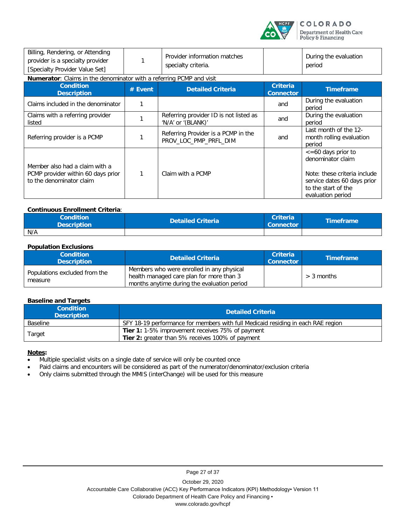

| Billing, Rendering, or Attending<br>provider is a specialty provider<br>[Specialty Provider Value Set] |           | Provider information matches<br>specialty criteria.          |                                     | During the evaluation<br>period                                                                                                                               |
|--------------------------------------------------------------------------------------------------------|-----------|--------------------------------------------------------------|-------------------------------------|---------------------------------------------------------------------------------------------------------------------------------------------------------------|
| <b>Numerator:</b> Claims in the denominator with a referring PCMP and visit                            |           |                                                              |                                     |                                                                                                                                                               |
| <b>Condition</b><br><b>Description</b>                                                                 | $#$ Event | <b>Detailed Criteria</b>                                     | <b>Criteria</b><br><b>Connector</b> | <b>Timeframe</b>                                                                                                                                              |
| Claims included in the denominator                                                                     |           |                                                              | and                                 | During the evaluation<br>period                                                                                                                               |
| Claims with a referring provider<br>listed                                                             |           | Referring provider ID is not listed as<br>'N/A' or '(BLANK)' | and                                 | During the evaluation<br>period                                                                                                                               |
| Referring provider is a PCMP                                                                           |           | Referring Provider is a PCMP in the<br>PROV LOC PMP PRFL DIM | and                                 | Last month of the 12-<br>month rolling evaluation<br>period                                                                                                   |
| Member also had a claim with a<br>PCMP provider within 60 days prior<br>to the denominator claim       | 1         | Claim with a PCMP                                            |                                     | $\epsilon$ = 60 days prior to<br>denominator claim<br>Note: these criteria include<br>service dates 60 days prior<br>to the start of the<br>evaluation period |

#### **Continuous Enrollment Criteria**:

| <b>Condition</b><br><b>Description</b> | Detailed Criteria | <b>Criteria</b><br><b>Connector</b> | <b>\Timeframe</b> \ |
|----------------------------------------|-------------------|-------------------------------------|---------------------|
| N/A                                    |                   |                                     |                     |

#### **Population Exclusions**

| <b>Condition</b><br><b>Description</b>   | <b>Detailed Criteria</b>                                                                                                             | <b>Criteria</b><br><b>Connector</b> | <b>Timeframe</b> |
|------------------------------------------|--------------------------------------------------------------------------------------------------------------------------------------|-------------------------------------|------------------|
| Populations excluded from the<br>measure | Members who were enrolled in any physical<br>health managed care plan for more than 3<br>months anytime during the evaluation period |                                     | $>$ 3 months     |

#### **Baseline and Targets**

| <b>Condition</b><br><b>Description</b> | <b>Detailed Criteria</b>                                                                                           |
|----------------------------------------|--------------------------------------------------------------------------------------------------------------------|
| <b>Baseline</b>                        | SFY 18-19 performance for members with full Medicaid residing in each RAE region                                   |
| Target                                 | <b>Tier 1:</b> 1-5% improvement receives 75% of payment<br><b>Tier 2:</b> greater than 5% receives 100% of payment |

#### **Notes:**

- Multiple specialist visits on a single date of service will only be counted once
- Paid claims and encounters will be considered as part of the numerator/denominator/exclusion criteria
- Only claims submitted through the MMIS (interChange) will be used for this measure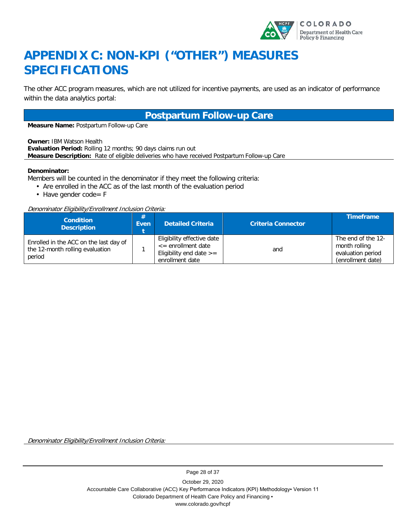

# <span id="page-32-0"></span>**APPENDIX C: NON-KPI ("OTHER") MEASURES SPECIFICATIONS**

The other ACC program measures, which are not utilized for incentive payments, are used as an indicator of performance within the data analytics portal:

### **Postpartum Follow-up Care**

**Measure Name:** Postpartum Follow-up Care

**Owner:** IBM Watson Health **Evaluation Period:** Rolling 12 months; 90 days claims run out **Measure Description:** Rate of eligible deliveries who have received Postpartum Follow-up Care

#### **Denominator:**

Members will be counted in the denominator if they meet the following criteria:

- Are enrolled in the ACC as of the last month of the evaluation period
- Have gender code= F

Denominator Eligibility/Enrollment Inclusion Criteria:

| <b>Condition</b><br><b>Description</b>                                              | #<br>Even | <b>Detailed Criteria</b>                                                                               | <b>Criteria Connector</b> | <b>Timeframe</b>                                                              |
|-------------------------------------------------------------------------------------|-----------|--------------------------------------------------------------------------------------------------------|---------------------------|-------------------------------------------------------------------------------|
| Enrolled in the ACC on the last day of<br>the 12-month rolling evaluation<br>period |           | Eligibility effective date<br>$\leq$ = enrollment date<br>Eligibility end date $>=$<br>enrollment date | and                       | The end of the 12-<br>month rolling<br>evaluation period<br>(enrollment date) |

Denominator Eligibility/Enrollment Inclusion Criteria:

Page 28 of 37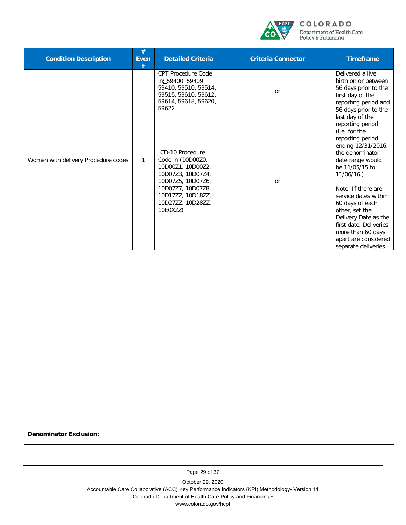

| <b>Condition Description</b>        | #<br><b>Even</b>                                                                                                                                                                     | <b>Detailed Criteria</b>                                                                                                        | <b>Criteria Connector</b>                                                                                                                                                        | <b>Timeframe</b>                                                                                                                                                                           |
|-------------------------------------|--------------------------------------------------------------------------------------------------------------------------------------------------------------------------------------|---------------------------------------------------------------------------------------------------------------------------------|----------------------------------------------------------------------------------------------------------------------------------------------------------------------------------|--------------------------------------------------------------------------------------------------------------------------------------------------------------------------------------------|
| Women with delivery Procedure codes |                                                                                                                                                                                      | <b>CPT Procedure Code</b><br>in: 59400, 59409,<br>59410, 59510, 59514,<br>59515, 59610, 59612,<br>59614, 59618, 59620,<br>59622 | or                                                                                                                                                                               | Delivered a live<br>birth on or between<br>56 days prior to the<br>first day of the<br>reporting period and<br>56 days prior to the                                                        |
|                                     | ICD-10 Procedure<br>Code in (10D00Z0,<br>1<br>10D00Z1, 10D00Z2,<br>10D07Z3, 10D07Z4,<br>10D07Z5, 10D07Z6,<br>10D07Z7, 10D07Z8,<br>10D17ZZ, 10D18ZZ,<br>10D27ZZ, 10D28ZZ,<br>10E0XZZ) |                                                                                                                                 | or                                                                                                                                                                               | last day of the<br>reporting period<br>(i.e. for the<br>reporting period<br>ending 12/31/2016,<br>the denominator<br>date range would<br>be 11/05/15 to<br>11/06/16.<br>Note: If there are |
|                                     |                                                                                                                                                                                      |                                                                                                                                 | service dates within<br>60 days of each<br>other, set the<br>Delivery Date as the<br>first date. Deliveries<br>more than 60 days<br>apart are considered<br>separate deliveries. |                                                                                                                                                                                            |

**Denominator Exclusion:**

Page 29 of 37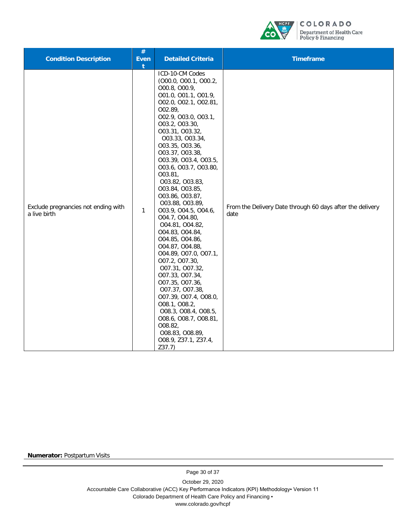

| <b>Condition Description</b>                        | $\#$<br><b>Even</b><br>t | <b>Detailed Criteria</b>                                                                                                                                                                                                                                                                                                                                                                                                                                                                                                                                                                                                                                                                                                                                                                     | <b>Timeframe</b>                                                  |
|-----------------------------------------------------|--------------------------|----------------------------------------------------------------------------------------------------------------------------------------------------------------------------------------------------------------------------------------------------------------------------------------------------------------------------------------------------------------------------------------------------------------------------------------------------------------------------------------------------------------------------------------------------------------------------------------------------------------------------------------------------------------------------------------------------------------------------------------------------------------------------------------------|-------------------------------------------------------------------|
| Exclude pregnancies not ending with<br>a live birth | $\mathbf{1}$             | ICD-10-CM Codes<br>(000.0, 000.1, 000.2,<br>000.8, 000.9,<br>001.0, 001.1, 001.9,<br>002.0, 002.1, 002.81,<br>O02.89,<br>002.9, 003.0, 003.1,<br>003.2, 003.30,<br>003.31, 003.32,<br>003.33, 003.34,<br>003.35, 003.36,<br>003.37, 003.38,<br>003.39, 003.4, 003.5,<br>003.6, 003.7, 003.80,<br>003.81,<br>003.82, 003.83,<br>003.84, 003.85,<br>003.86, 003.87,<br>003.88, 003.89,<br>003.9, 004.5, 004.6,<br>O04.7, O04.80,<br>O04.81, O04.82,<br>O04.83, O04.84,<br>O04.85, O04.86,<br>O04.87, O04.88,<br>O04.89, O07.0, O07.1,<br>007.2, 007.30,<br>007.31, 007.32,<br>007.33, 007.34,<br>007.35, 007.36,<br>007.37, 007.38,<br>O07.39, O07.4, O08.0,<br>008.1, 008.2,<br>008.3, 008.4, 008.5,<br>O08.6, O08.7, O08.81,<br>O08.82,<br>008.83, 008.89,<br>O08.9, Z37.1, Z37.4,<br>Z37.7) | From the Delivery Date through 60 days after the delivery<br>date |

**Numerator:** Postpartum Visits

Page 30 of 37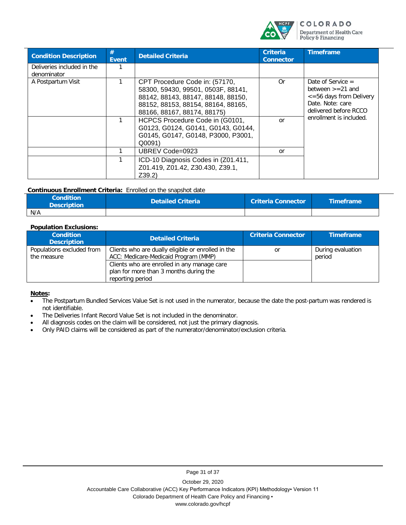

| <b>Condition Description</b>              | #<br>Event | <b>Detailed Criteria</b>                                                                                                                                                        | <b>Criteria</b><br><b>Connector</b> | <b>Timeframe</b>                                                                                                   |
|-------------------------------------------|------------|---------------------------------------------------------------------------------------------------------------------------------------------------------------------------------|-------------------------------------|--------------------------------------------------------------------------------------------------------------------|
| Deliveries included in the<br>denominator |            |                                                                                                                                                                                 |                                     |                                                                                                                    |
| A Postpartum Visit                        |            | CPT Procedure Code in: (57170,<br>58300, 59430, 99501, 0503F, 88141,<br>88142, 88143, 88147, 88148, 88150,<br>88152, 88153, 88154, 88164, 88165,<br>88166, 88167, 88174, 88175) | 0r                                  | Date of Service $=$<br>between $>=21$ and<br><= 56 days from Delivery<br>Date, Note: care<br>delivered before RCCO |
|                                           |            | HCPCS Procedure Code in (G0101,<br>G0123, G0124, G0141, G0143, G0144,<br>G0145, G0147, G0148, P3000, P3001,<br>Q0091                                                            | or                                  | enrollment is included.                                                                                            |
|                                           |            | UBREV Code=0923                                                                                                                                                                 | or                                  |                                                                                                                    |
|                                           |            | ICD-10 Diagnosis Codes in (Z01.411,<br>Z01.419, Z01.42, Z30.430, Z39.1,<br>Z39.2                                                                                                |                                     |                                                                                                                    |

#### **Continuous Enrollment Criteria:** Enrolled on the snapshot date

| <b>Condition</b><br><b>Description</b> | Detailed Criteria | Criteria Connector | <b>Nimeframe</b> |
|----------------------------------------|-------------------|--------------------|------------------|
| N/A                                    |                   |                    |                  |

#### **Population Exclusions:**

| <b>Condition</b><br><b>Description</b>   | <b>Detailed Criteria</b>                                                                                  | <b>Criteria Connector</b> | <b>Timeframe</b>            |
|------------------------------------------|-----------------------------------------------------------------------------------------------------------|---------------------------|-----------------------------|
| Populations excluded from<br>the measure | Clients who are dually eligible or enrolled in the<br>ACC: Medicare-Medicaid Program (MMP)                | or                        | During evaluation<br>period |
|                                          | Clients who are enrolled in any manage care<br>plan for more than 3 months during the<br>reporting period |                           |                             |

#### **Notes:**

- The Postpartum Bundled Services Value Set is not used in the numerator, because the date the post-partum was rendered is not identifiable.
- The Deliveries Infant Record Value Set is not included in the denominator.
- All diagnosis codes on the claim will be considered, not just the primary diagnosis.
- Only PAID claims will be considered as part of the numerator/denominator/exclusion criteria.

Page 31 of 37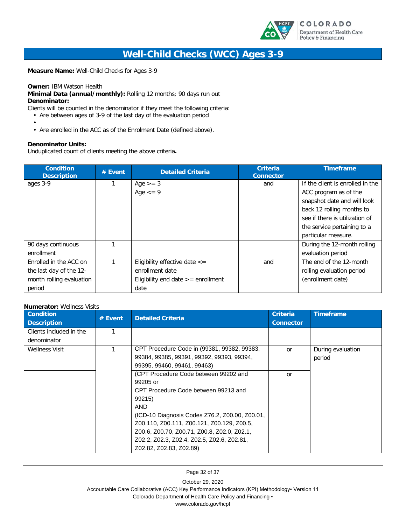

### **Well-Child Checks (WCC) Ages 3-9**

**Measure Name:** Well-Child Checks for Ages 3-9

#### **Owner:** IBM Watson Health

**Minimal Data (annual/monthly):** Rolling 12 months; 90 days run out **Denominator:**

Clients will be counted in the denominator if they meet the following criteria:

- Are between ages of 3-9 of the last day of the evaluation period
- - Are enrolled in the ACC as of the Enrolment Date (defined above).

#### **Denominator Units:**

Unduplicated count of clients meeting the above criteria**.**

| <b>Condition</b><br><b>Description</b> | $#$ Event | <b>Detailed Criteria</b>                 | <b>Criteria</b><br><b>Connector</b> | <b>Timeframe</b>                 |
|----------------------------------------|-----------|------------------------------------------|-------------------------------------|----------------------------------|
| ages 3-9                               |           | Age $>=$ 3                               | and                                 | If the client is enrolled in the |
|                                        |           | Age $\lt$ = 9                            |                                     | ACC program as of the            |
|                                        |           |                                          |                                     | snapshot date and will look      |
|                                        |           |                                          |                                     | back 12 rolling months to        |
|                                        |           |                                          |                                     | see if there is utilization of   |
|                                        |           |                                          |                                     | the service pertaining to a      |
|                                        |           |                                          |                                     | particular measure.              |
| 90 days continuous                     |           |                                          |                                     | During the 12-month rolling      |
| enrollment                             |           |                                          |                                     | evaluation period                |
| Enrolled in the ACC on                 |           | Eligibility effective date $\le$ =       | and                                 | The end of the 12-month          |
| the last day of the 12-                |           | enrollment date                          |                                     | rolling evaluation period        |
| month rolling evaluation               |           | Eligibility end date $\geq$ = enrollment |                                     | (enrollment date)                |
| period                                 |           | date                                     |                                     |                                  |

| <b>Numerator: Wellness Visits</b>      |           |                                                                                                                                                                                                                                                                                                                                    |                                     |                             |
|----------------------------------------|-----------|------------------------------------------------------------------------------------------------------------------------------------------------------------------------------------------------------------------------------------------------------------------------------------------------------------------------------------|-------------------------------------|-----------------------------|
| <b>Condition</b><br><b>Description</b> | $#$ Event | <b>Detailed Criteria</b>                                                                                                                                                                                                                                                                                                           | <b>Criteria</b><br><b>Connector</b> | <b>Timeframe</b>            |
| Clients included in the<br>denominator |           |                                                                                                                                                                                                                                                                                                                                    |                                     |                             |
| <b>Wellness Visit</b>                  | 1         | CPT Procedure Code in (99381, 99382, 99383,<br>99384, 99385, 99391, 99392, 99393, 99394,<br>99395, 99460, 99461, 99463)                                                                                                                                                                                                            | <b>or</b>                           | During evaluation<br>period |
|                                        |           | (CPT Procedure Code between 99202 and<br>99205 or<br>CPT Procedure Code between 99213 and<br>99215)<br>AND<br>(ICD-10 Diagnosis Codes Z76.2, Z00.00, Z00.01,<br>Z00.110, Z00.111, Z00.121, Z00.129, Z00.5,<br>Z00.6, Z00.70, Z00.71, Z00.8, Z02.0, Z02.1,<br>Z02.2, Z02.3, Z02.4, Z02.5, Z02.6, Z02.81,<br>Z02.82, Z02.83, Z02.89) | or                                  |                             |

Page 32 of 37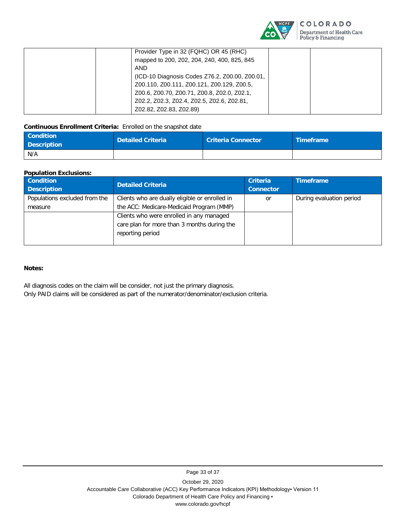

| Provider Type in 32 (FQHC) OR 45 (RHC)         |  |
|------------------------------------------------|--|
| mapped to 200, 202, 204, 240, 400, 825, 845    |  |
| <b>AND</b>                                     |  |
| (ICD-10 Diagnosis Codes Z76.2, Z00.00, Z00.01, |  |
| Z00.110, Z00.111, Z00.121, Z00.129, Z00.5,     |  |
| Z00.6, Z00.70, Z00.71, Z00.8, Z02.0, Z02.1,    |  |
| Z02.2, Z02.3, Z02.4, Z02.5, Z02.6, Z02.81,     |  |
| Z02.82, Z02.83, Z02.89)                        |  |

#### **Continuous Enrollment Criteria:** Enrolled on the snapshot date

| <b>Condition</b><br><b>Description</b> | <b>Detailed Criteria</b> | Criteria Connector | Timeframe |
|----------------------------------------|--------------------------|--------------------|-----------|
| N/A                                    |                          |                    |           |

#### **Population Exclusions:**

| <b>Condition</b><br><b>Description</b> | <b>Detailed Criteria</b>                                                                                    | <b>Criteria</b><br><b>Connector</b> | <b>Timeframe</b>         |
|----------------------------------------|-------------------------------------------------------------------------------------------------------------|-------------------------------------|--------------------------|
| Populations excluded from the          | Clients who are dually eligible or enrolled in                                                              | or                                  | During evaluation period |
| measure                                | the ACC: Medicare-Medicaid Program (MMP)                                                                    |                                     |                          |
|                                        | Clients who were enrolled in any managed<br>care plan for more than 3 months during the<br>reporting period |                                     |                          |

#### **Notes:**

All diagnosis codes on the claim will be consider, not just the primary diagnosis.

Only PAID claims will be considered as part of the numerator/denominator/exclusion criteria.

October 29, 2020 Accountable Care Collaborative (ACC) Key Performance Indicators (KPI) Methodology• Version 11 Colorado Department of Health Care Policy and Financing ▪ www.colorado.gov/hcpf

Page 33 of 37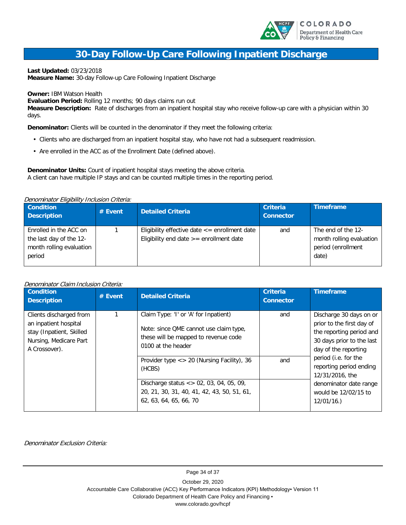

### **30-Day Follow-Up Care Following Inpatient Discharge**

**Last Updated:** 03/23/2018 **Measure Name:** 30-day Follow-up Care Following Inpatient Discharge

**Owner:** IBM Watson Health

**Evaluation Period:** Rolling 12 months; 90 days claims run out

**Measure Description:** Rate of discharges from an inpatient hospital stay who receive follow-up care with a physician within 30 days.

**Denominator:** Clients will be counted in the denominator if they meet the following criteria:

- Clients who are discharged from an inpatient hospital stay, who have not had a subsequent readmission.
- Are enrolled in the ACC as of the Enrollment Date (defined above).

**Denominator Units:** Count of inpatient hospital stays meeting the above criteria. A client can have multiple IP stays and can be counted multiple times in the reporting period.

#### Denominator Eligibility Inclusion Criteria:

| <b>Condition</b><br><b>Description</b>                                                  | $#$ Event | <b>Detailed Criteria</b>                                                                             | <b>Criteria</b><br><b>Connector</b> | <b>Timeframe</b>                                                              |
|-----------------------------------------------------------------------------------------|-----------|------------------------------------------------------------------------------------------------------|-------------------------------------|-------------------------------------------------------------------------------|
| Enrolled in the ACC on<br>the last day of the 12-<br>month rolling evaluation<br>period |           | Eligibility effective date $\leq$ = enrollment date<br>Eligibility end date $\geq$ = enrollment date | and                                 | The end of the 12-<br>month rolling evaluation<br>period (enrollment<br>date) |

| <b>Condition</b><br><b>Description</b>                                                                                  | $#$ Event | <b>Detailed Criteria</b>                                                                                                                                                                                             | Criteria<br><b>Connector</b> | <b>Timeframe</b>                                                                                                                                                                         |
|-------------------------------------------------------------------------------------------------------------------------|-----------|----------------------------------------------------------------------------------------------------------------------------------------------------------------------------------------------------------------------|------------------------------|------------------------------------------------------------------------------------------------------------------------------------------------------------------------------------------|
| Clients discharged from<br>an inpatient hospital<br>stay (Inpatient, Skilled<br>Nursing, Medicare Part<br>A Crossover). |           | Claim Type: 'I' or 'A' for Inpatient)<br>Note: since QME cannot use claim type,<br>these will be mapped to revenue code<br>0100 at the header<br>Provider type $\langle 20 \rangle$ (Nursing Facility), 36<br>(HCBS) | and<br>and                   | Discharge 30 days on or<br>prior to the first day of<br>the reporting period and<br>30 days prior to the last<br>day of the reporting<br>period (i.e. for the<br>reporting period ending |
|                                                                                                                         |           | Discharge status $\langle 0.2, 0.3, 0.4, 0.5, 0.09 \rangle$<br>20, 21, 30, 31, 40, 41, 42, 43, 50, 51, 61,<br>62, 63, 64, 65, 66, 70                                                                                 |                              | 12/31/2016, the<br>denominator date range<br>would be 12/02/15 to<br>12/01/16.                                                                                                           |

Denominator Exclusion Criteria:

Page 34 of 37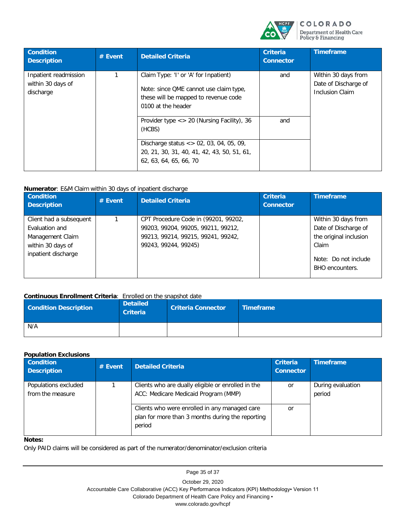

| <b>Condition</b><br><b>Description</b>                  | $#$ Event | <b>Detailed Criteria</b>                                                                                                                                                                                    | <b>Criteria</b><br><b>Connector</b> | <b>Timeframe</b>                                                      |
|---------------------------------------------------------|-----------|-------------------------------------------------------------------------------------------------------------------------------------------------------------------------------------------------------------|-------------------------------------|-----------------------------------------------------------------------|
| Inpatient readmission<br>within 30 days of<br>discharge |           | Claim Type: 'I' or 'A' for Inpatient)<br>Note: since QME cannot use claim type,<br>these will be mapped to revenue code<br>0100 at the header                                                               | and                                 | Within 30 days from<br>Date of Discharge of<br><b>Inclusion Claim</b> |
|                                                         |           | Provider type $\langle 20 \rangle$ (Nursing Facility), 36<br>(HCBS)<br>Discharge status $\langle 0.2, 0.3, 0.4, 0.5, 0.09 \rangle$<br>20, 21, 30, 31, 40, 41, 42, 43, 50, 51, 61,<br>62, 63, 64, 65, 66, 70 | and                                 |                                                                       |

#### **Numerator**: E&M Claim within 30 days of inpatient discharge

| <b>Condition</b><br><b>Description</b> | $#$ Event | <b>Detailed Criteria</b>             | <b>Criteria</b><br><b>Connector</b> | Timeframe                                      |
|----------------------------------------|-----------|--------------------------------------|-------------------------------------|------------------------------------------------|
| Client had a subsequent                |           | CPT Procedure Code in (99201, 99202, |                                     | Within 30 days from                            |
| Evaluation and                         |           | 99203, 99204, 99205, 99211, 99212,   |                                     | Date of Discharge of                           |
| Management Claim                       |           | 99213, 99214, 99215, 99241, 99242,   |                                     | the original inclusion                         |
| within 30 days of                      |           | 99243, 99244, 99245)                 |                                     | Claim                                          |
| inpatient discharge                    |           |                                      |                                     | Note: Do not include<br><b>BHO</b> encounters. |

#### **Continuous Enrollment Criteria**: Enrolled on the snapshot date

| <b>Condition Description</b> | <b>Detailed</b><br><b>Criteria</b> | <b>Criteria Connector</b> | <b>Timeframe</b> |
|------------------------------|------------------------------------|---------------------------|------------------|
| N/A                          |                                    |                           |                  |

#### **Population Exclusions**

| <b>Condition</b><br><b>Description</b>   | $#$ Event | <b>Detailed Criteria</b>                                                                                    | <b>Criteria</b><br><b>Connector</b> | <b>Timeframe</b>            |
|------------------------------------------|-----------|-------------------------------------------------------------------------------------------------------------|-------------------------------------|-----------------------------|
| Populations excluded<br>from the measure |           | Clients who are dually eligible or enrolled in the<br>ACC: Medicare Medicaid Program (MMP)                  | <u>or</u>                           | During evaluation<br>period |
|                                          |           | Clients who were enrolled in any managed care<br>plan for more than 3 months during the reporting<br>period | or                                  |                             |

#### **Notes:**

Only PAID claims will be considered as part of the numerator/denominator/exclusion criteria

Page 35 of 37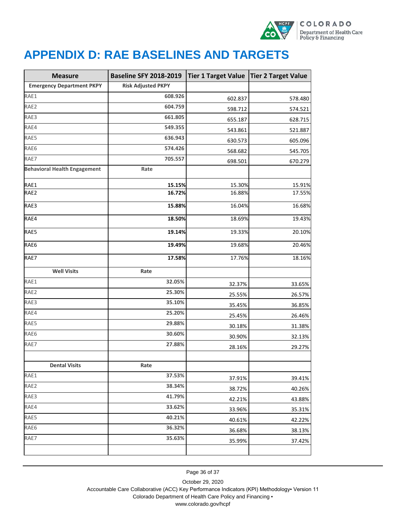

# <span id="page-40-0"></span>**APPENDIX D: RAE BASELINES AND TARGETS**

| <b>Measure</b>                      | <b>Baseline SFY 2018-2019</b> | Tier 1 Target Value   Tier 2 Target Value |         |
|-------------------------------------|-------------------------------|-------------------------------------------|---------|
| <b>Emergency Department PKPY</b>    | <b>Risk Adjusted PKPY</b>     |                                           |         |
| RAE1                                | 608.926                       | 602.837                                   | 578.480 |
| RAE2                                | 604.759                       | 598.712                                   | 574.521 |
| RAE3                                | 661.805                       | 655.187                                   | 628.715 |
| RAE4                                | 549.355                       | 543.861                                   | 521.887 |
| RAE5                                | 636.943                       | 630.573                                   | 605.096 |
| RAE6                                | 574.426                       | 568.682                                   | 545.705 |
| RAE7                                | 705.557                       | 698.501                                   | 670.279 |
| <b>Behavioral Health Engagement</b> | Rate                          |                                           |         |
| RAE1                                | 15.15%                        | 15.30%                                    | 15.91%  |
| RAE2                                | 16.72%                        | 16.88%                                    | 17.55%  |
| RAE3                                | 15.88%                        | 16.04%                                    | 16.68%  |
| RAE4                                | 18.50%                        | 18.69%                                    | 19.43%  |
| RAE5                                | 19.14%                        | 19.33%                                    | 20.10%  |
| RAE6                                | 19.49%                        | 19.68%                                    | 20.46%  |
| RAE7                                | 17.58%                        | 17.76%                                    | 18.16%  |
| <b>Well Visits</b>                  | Rate                          |                                           |         |
| RAE1                                | 32.05%                        | 32.37%                                    | 33.65%  |
| RAE2                                | 25.30%                        | 25.55%                                    | 26.57%  |
| RAE3                                | 35.10%                        | 35.45%                                    | 36.85%  |
| RAE4                                | 25.20%                        | 25.45%                                    | 26.46%  |
| RAE5                                | 29.88%                        | 30.18%                                    | 31.38%  |
| RAE6                                | 30.60%                        | 30.90%                                    | 32.13%  |
| RAE7                                | 27.88%                        | 28.16%                                    | 29.27%  |
| <b>Dental Visits</b>                | Rate                          |                                           |         |
| RAE1                                | 37.53%                        |                                           |         |
| RAE2                                | 38.34%                        | 37.91%                                    | 39.41%  |
| RAE3                                | 41.79%                        | 38.72%                                    | 40.26%  |
| RAE4                                | 33.62%                        | 42.21%                                    | 43.88%  |
| RAE5                                | 40.21%                        | 33.96%                                    | 35.31%  |
|                                     |                               | 40.61%                                    | 42.22%  |
| RAE6                                | 36.32%                        | 36.68%                                    | 38.13%  |
| RAE7                                | 35.63%                        | 35.99%                                    | 37.42%  |
|                                     |                               |                                           |         |

Page 36 of 37